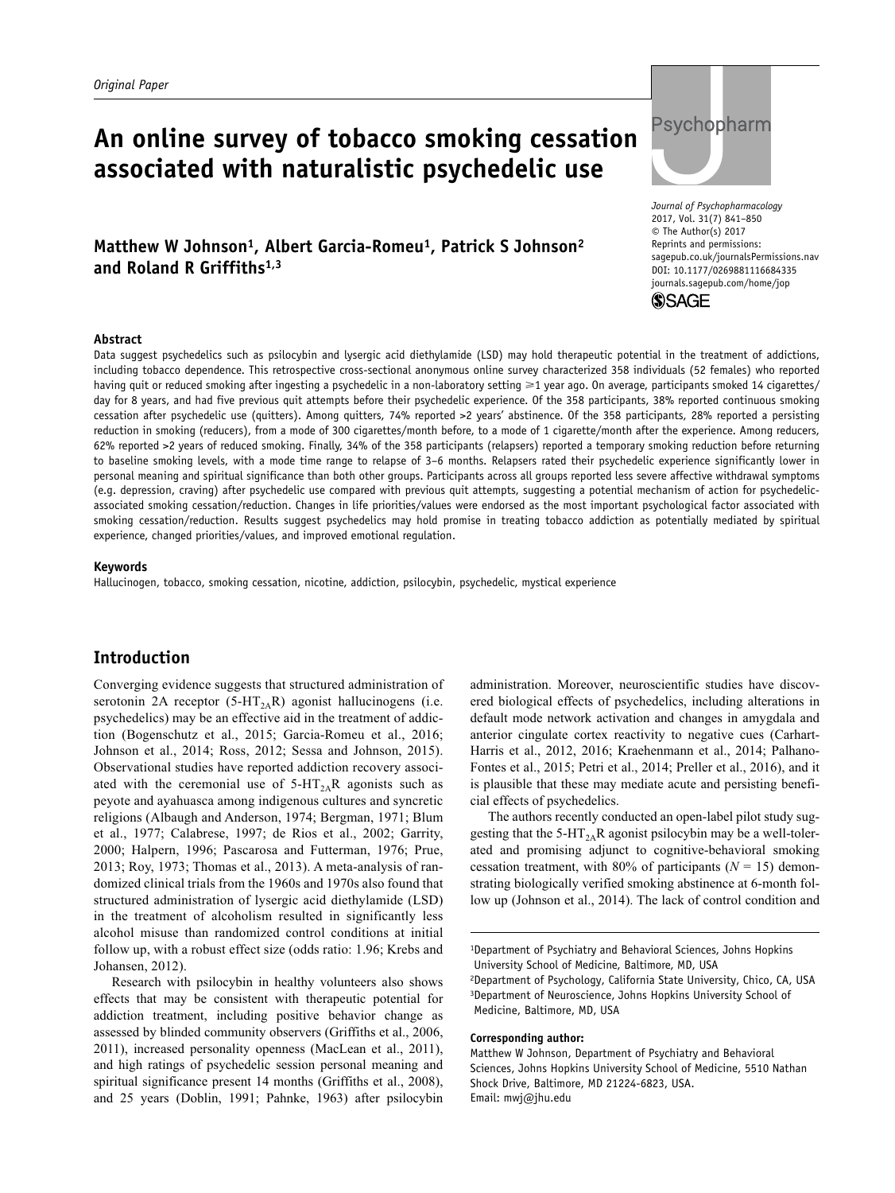# **An online survey of tobacco smoking cessation associated with naturalistic psychedelic use**

# Matthew W Johnson<sup>1</sup>, Albert Garcia-Romeu<sup>1</sup>, Patrick S Johnson<sup>2</sup> **and Roland R Griffiths1,3**



DOI: 10.1177/0269881116684335 *Journal of Psychopharmacology* 2017, Vol. 31(7) 841–850 © The Author(s) 2017 Reprints and permissions: [sagepub.co.uk/journalsPermissions.nav](https://uk.sagepub.com/en-gb/journals-permissions) [journals.sagepub.com/home/jop](https://journals.sagepub.com/home/jop)



#### **Abstract**

Data suggest psychedelics such as psilocybin and lysergic acid diethylamide (LSD) may hold therapeutic potential in the treatment of addictions, including tobacco dependence. This retrospective cross-sectional anonymous online survey characterized 358 individuals (52 females) who reported having quit or reduced smoking after ingesting a psychedelic in a non-laboratory setting ≥1 year ago. On average, participants smoked 14 cigarettes/ day for 8 years, and had five previous quit attempts before their psychedelic experience. Of the 358 participants, 38% reported continuous smoking cessation after psychedelic use (quitters). Among quitters, 74% reported >2 years' abstinence. Of the 358 participants, 28% reported a persisting reduction in smoking (reducers), from a mode of 300 cigarettes/month before, to a mode of 1 cigarette/month after the experience. Among reducers, 62% reported >2 years of reduced smoking. Finally, 34% of the 358 participants (relapsers) reported a temporary smoking reduction before returning to baseline smoking levels, with a mode time range to relapse of 3–6 months. Relapsers rated their psychedelic experience significantly lower in personal meaning and spiritual significance than both other groups. Participants across all groups reported less severe affective withdrawal symptoms (e.g. depression, craving) after psychedelic use compared with previous quit attempts, suggesting a potential mechanism of action for psychedelicassociated smoking cessation/reduction. Changes in life priorities/values were endorsed as the most important psychological factor associated with smoking cessation/reduction. Results suggest psychedelics may hold promise in treating tobacco addiction as potentially mediated by spiritual experience, changed priorities/values, and improved emotional regulation.

#### **Keywords**

Hallucinogen, tobacco, smoking cessation, nicotine, addiction, psilocybin, psychedelic, mystical experience

## **Introduction**

Converging evidence suggests that structured administration of serotonin 2A receptor  $(5-HT<sub>2A</sub>R)$  agonist hallucinogens (i.e. psychedelics) may be an effective aid in the treatment of addiction (Bogenschutz et al., 2015; Garcia-Romeu et al., 2016; Johnson et al., 2014; Ross, 2012; Sessa and Johnson, 2015). Observational studies have reported addiction recovery associated with the ceremonial use of  $5-HT<sub>2A</sub>R$  agonists such as peyote and ayahuasca among indigenous cultures and syncretic religions (Albaugh and Anderson, 1974; Bergman, 1971; Blum et al., 1977; Calabrese, 1997; de Rios et al., 2002; Garrity, 2000; Halpern, 1996; Pascarosa and Futterman, 1976; Prue, 2013; Roy, 1973; Thomas et al., 2013). A meta-analysis of randomized clinical trials from the 1960s and 1970s also found that structured administration of lysergic acid diethylamide (LSD) in the treatment of alcoholism resulted in significantly less alcohol misuse than randomized control conditions at initial follow up, with a robust effect size (odds ratio: 1.96; Krebs and Johansen, 2012).

Research with psilocybin in healthy volunteers also shows effects that may be consistent with therapeutic potential for addiction treatment, including positive behavior change as assessed by blinded community observers (Griffiths et al., 2006, 2011), increased personality openness (MacLean et al., 2011), and high ratings of psychedelic session personal meaning and spiritual significance present 14 months (Griffiths et al., 2008), and 25 years (Doblin, 1991; Pahnke, 1963) after psilocybin administration. Moreover, neuroscientific studies have discovered biological effects of psychedelics, including alterations in default mode network activation and changes in amygdala and anterior cingulate cortex reactivity to negative cues (Carhart-Harris et al., 2012, 2016; Kraehenmann et al., 2014; Palhano-Fontes et al., 2015; Petri et al., 2014; Preller et al., 2016), and it is plausible that these may mediate acute and persisting beneficial effects of psychedelics.

The authors recently conducted an open-label pilot study suggesting that the 5-HT<sub>2A</sub>R agonist psilocybin may be a well-tolerated and promising adjunct to cognitive-behavioral smoking cessation treatment, with 80% of participants  $(N = 15)$  demonstrating biologically verified smoking abstinence at 6-month follow up (Johnson et al., 2014). The lack of control condition and

1Department of Psychiatry and Behavioral Sciences, Johns Hopkins University School of Medicine, Baltimore, MD, USA 2Department of Psychology, California State University, Chico, CA, USA 3Department of Neuroscience, Johns Hopkins University School of Medicine, Baltimore, MD, USA

### **Corresponding author:**

Matthew W Johnson, Department of Psychiatry and Behavioral Sciences, Johns Hopkins University School of Medicine, 5510 Nathan Shock Drive, Baltimore, MD 21224-6823, USA. Email: [mwj@jhu.edu](mailto:mwj@jhu.edu)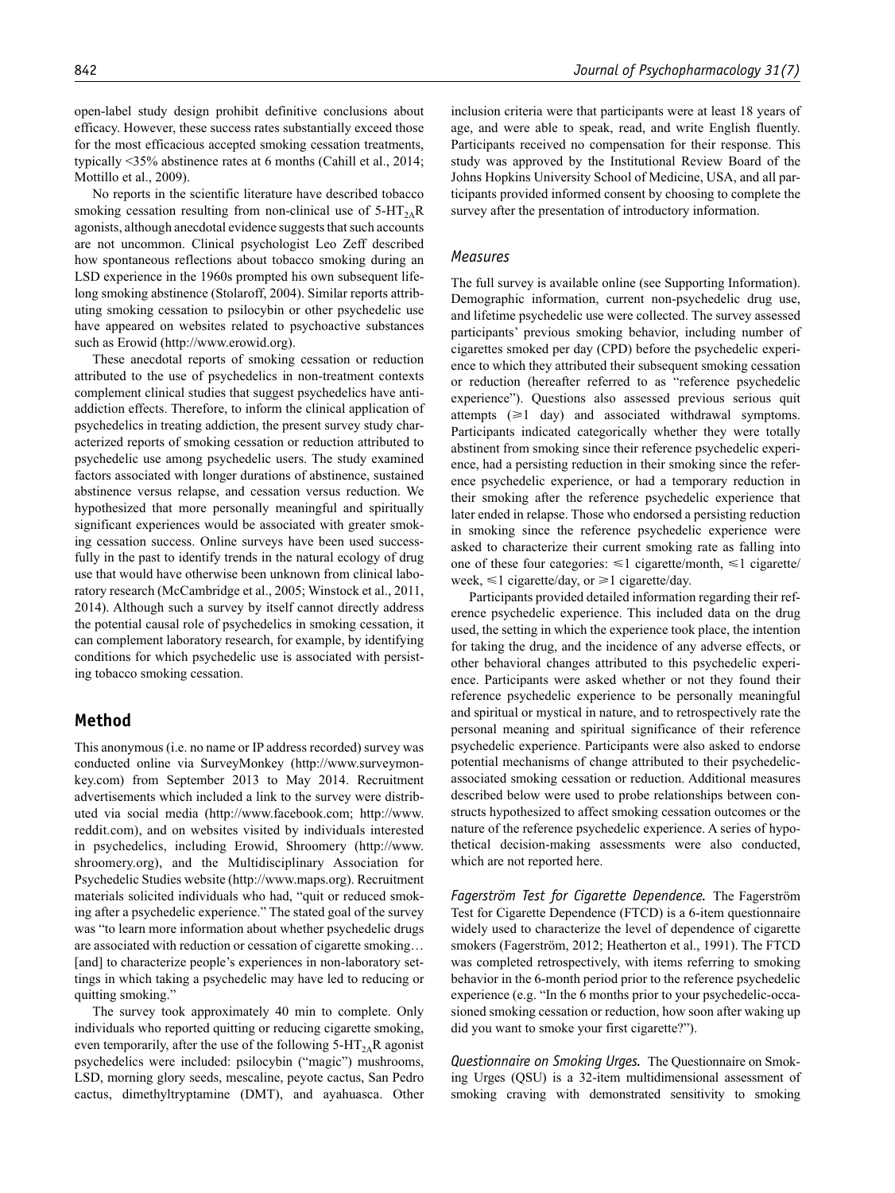No reports in the scientific literature have described tobacco smoking cessation resulting from non-clinical use of  $5-HT_{2A}R$ agonists, although anecdotal evidence suggests that such accounts are not uncommon. Clinical psychologist Leo Zeff described how spontaneous reflections about tobacco smoking during an LSD experience in the 1960s prompted his own subsequent lifelong smoking abstinence (Stolaroff, 2004). Similar reports attributing smoking cessation to psilocybin or other psychedelic use have appeared on websites related to psychoactive substances such as Erowid (http:/[/www.erowid.org\)](www.erowid.org).

These anecdotal reports of smoking cessation or reduction attributed to the use of psychedelics in non-treatment contexts complement clinical studies that suggest psychedelics have antiaddiction effects. Therefore, to inform the clinical application of psychedelics in treating addiction, the present survey study characterized reports of smoking cessation or reduction attributed to psychedelic use among psychedelic users. The study examined factors associated with longer durations of abstinence, sustained abstinence versus relapse, and cessation versus reduction. We hypothesized that more personally meaningful and spiritually significant experiences would be associated with greater smoking cessation success. Online surveys have been used successfully in the past to identify trends in the natural ecology of drug use that would have otherwise been unknown from clinical laboratory research (McCambridge et al., 2005; Winstock et al., 2011, 2014). Although such a survey by itself cannot directly address the potential causal role of psychedelics in smoking cessation, it can complement laboratory research, for example, by identifying conditions for which psychedelic use is associated with persisting tobacco smoking cessation.

## **Method**

This anonymous (i.e. no name or IP address recorded) survey was conducted online via SurveyMonkey ([http://www.surveymon](http://www.surveymonkey.com)[key.com\)](http://www.surveymonkey.com) from September 2013 to May 2014. Recruitment advertisements which included a link to the survey were distributed via social media (http://[www.facebook.com;](www.facebook.com) [http://www.](http://www.reddit.com) [reddit.com](http://www.reddit.com)), and on websites visited by individuals interested in psychedelics, including Erowid, Shroomery (http://[www.](www.shroomery.org) [shroomery.org\)](www.shroomery.org), and the Multidisciplinary Association for Psychedelic Studies website (http:/[/www.maps.org\)](www.maps.org). Recruitment materials solicited individuals who had, "quit or reduced smoking after a psychedelic experience." The stated goal of the survey was "to learn more information about whether psychedelic drugs are associated with reduction or cessation of cigarette smoking… [and] to characterize people's experiences in non-laboratory settings in which taking a psychedelic may have led to reducing or quitting smoking."

The survey took approximately 40 min to complete. Only individuals who reported quitting or reducing cigarette smoking, even temporarily, after the use of the following  $5-HT_{2A}R$  agonist psychedelics were included: psilocybin ("magic") mushrooms, LSD, morning glory seeds, mescaline, peyote cactus, San Pedro cactus, dimethyltryptamine (DMT), and ayahuasca. Other inclusion criteria were that participants were at least 18 years of age, and were able to speak, read, and write English fluently. Participants received no compensation for their response. This study was approved by the Institutional Review Board of the Johns Hopkins University School of Medicine, USA, and all participants provided informed consent by choosing to complete the survey after the presentation of introductory information.

### *Measures*

The full survey is available online (see Supporting Information). Demographic information, current non-psychedelic drug use, and lifetime psychedelic use were collected. The survey assessed participants' previous smoking behavior, including number of cigarettes smoked per day (CPD) before the psychedelic experience to which they attributed their subsequent smoking cessation or reduction (hereafter referred to as "reference psychedelic experience"). Questions also assessed previous serious quit attempts  $(≥1$  day) and associated withdrawal symptoms. Participants indicated categorically whether they were totally abstinent from smoking since their reference psychedelic experience, had a persisting reduction in their smoking since the reference psychedelic experience, or had a temporary reduction in their smoking after the reference psychedelic experience that later ended in relapse. Those who endorsed a persisting reduction in smoking since the reference psychedelic experience were asked to characterize their current smoking rate as falling into one of these four categories:  $\leq 1$  cigarette/month,  $\leq 1$  cigarette/ week,  $\leq 1$  cigarette/day, or  $\geq 1$  cigarette/day.

Participants provided detailed information regarding their reference psychedelic experience. This included data on the drug used, the setting in which the experience took place, the intention for taking the drug, and the incidence of any adverse effects, or other behavioral changes attributed to this psychedelic experience. Participants were asked whether or not they found their reference psychedelic experience to be personally meaningful and spiritual or mystical in nature, and to retrospectively rate the personal meaning and spiritual significance of their reference psychedelic experience. Participants were also asked to endorse potential mechanisms of change attributed to their psychedelicassociated smoking cessation or reduction. Additional measures described below were used to probe relationships between constructs hypothesized to affect smoking cessation outcomes or the nature of the reference psychedelic experience. A series of hypothetical decision-making assessments were also conducted, which are not reported here.

*Fagerström Test for Cigarette Dependence.* The Fagerström Test for Cigarette Dependence (FTCD) is a 6-item questionnaire widely used to characterize the level of dependence of cigarette smokers (Fagerström, 2012; Heatherton et al., 1991). The FTCD was completed retrospectively, with items referring to smoking behavior in the 6-month period prior to the reference psychedelic experience (e.g. "In the 6 months prior to your psychedelic-occasioned smoking cessation or reduction, how soon after waking up did you want to smoke your first cigarette?").

*Questionnaire on Smoking Urges.* The Questionnaire on Smoking Urges (QSU) is a 32-item multidimensional assessment of smoking craving with demonstrated sensitivity to smoking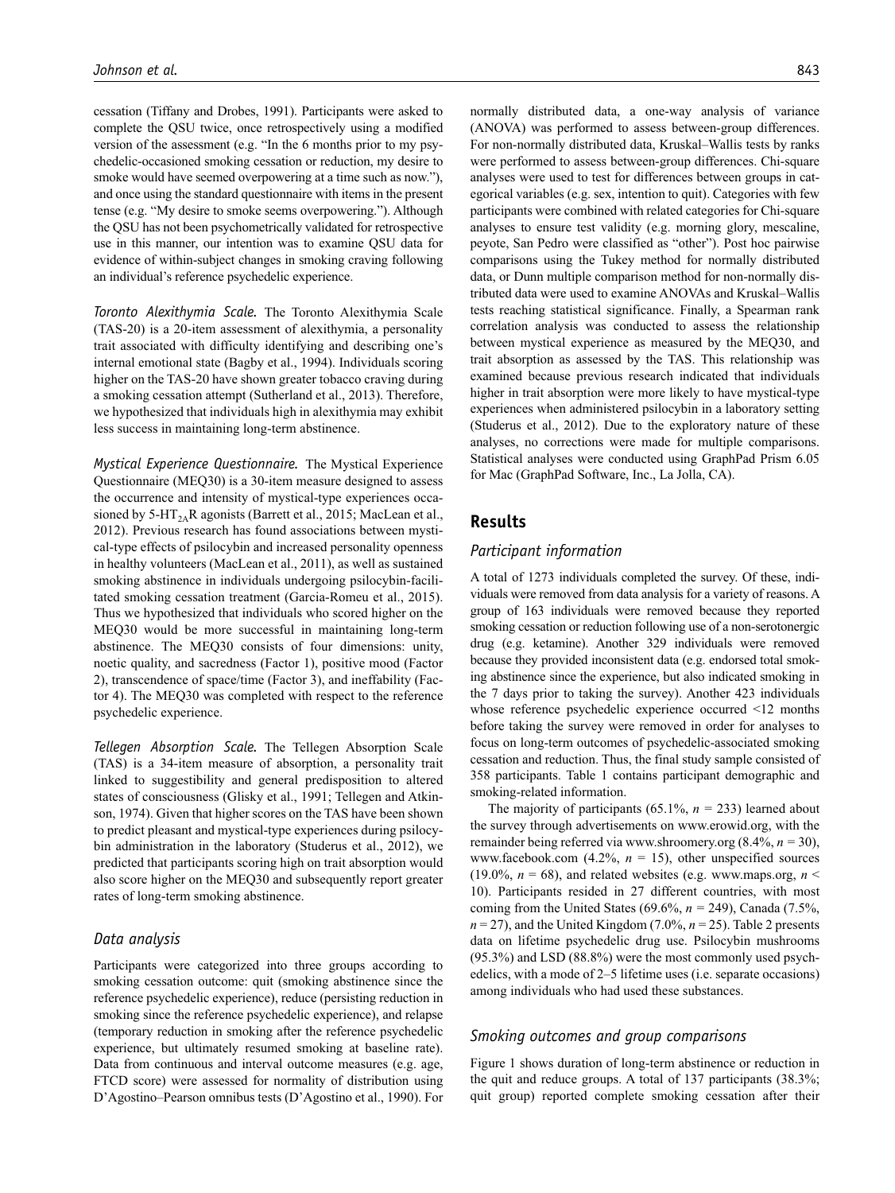cessation (Tiffany and Drobes, 1991). Participants were asked to complete the QSU twice, once retrospectively using a modified version of the assessment (e.g. "In the 6 months prior to my psychedelic-occasioned smoking cessation or reduction, my desire to smoke would have seemed overpowering at a time such as now."), and once using the standard questionnaire with items in the present tense (e.g. "My desire to smoke seems overpowering."). Although the QSU has not been psychometrically validated for retrospective use in this manner, our intention was to examine QSU data for evidence of within-subject changes in smoking craving following an individual's reference psychedelic experience.

*Toronto Alexithymia Scale.* The Toronto Alexithymia Scale (TAS-20) is a 20-item assessment of alexithymia, a personality trait associated with difficulty identifying and describing one's internal emotional state (Bagby et al., 1994). Individuals scoring higher on the TAS-20 have shown greater tobacco craving during a smoking cessation attempt (Sutherland et al., 2013). Therefore, we hypothesized that individuals high in alexithymia may exhibit less success in maintaining long-term abstinence.

*Mystical Experience Questionnaire.* The Mystical Experience Questionnaire (MEQ30) is a 30-item measure designed to assess the occurrence and intensity of mystical-type experiences occasioned by 5-HT<sub>2A</sub>R agonists (Barrett et al., 2015; MacLean et al., 2012). Previous research has found associations between mystical-type effects of psilocybin and increased personality openness in healthy volunteers (MacLean et al., 2011), as well as sustained smoking abstinence in individuals undergoing psilocybin-facilitated smoking cessation treatment (Garcia-Romeu et al., 2015). Thus we hypothesized that individuals who scored higher on the MEQ30 would be more successful in maintaining long-term abstinence. The MEQ30 consists of four dimensions: unity, noetic quality, and sacredness (Factor 1), positive mood (Factor 2), transcendence of space/time (Factor 3), and ineffability (Factor 4). The MEQ30 was completed with respect to the reference psychedelic experience.

*Tellegen Absorption Scale.* The Tellegen Absorption Scale (TAS) is a 34-item measure of absorption, a personality trait linked to suggestibility and general predisposition to altered states of consciousness (Glisky et al., 1991; Tellegen and Atkinson, 1974). Given that higher scores on the TAS have been shown to predict pleasant and mystical-type experiences during psilocybin administration in the laboratory (Studerus et al., 2012), we predicted that participants scoring high on trait absorption would also score higher on the MEQ30 and subsequently report greater rates of long-term smoking abstinence.

### *Data analysis*

Participants were categorized into three groups according to smoking cessation outcome: quit (smoking abstinence since the reference psychedelic experience), reduce (persisting reduction in smoking since the reference psychedelic experience), and relapse (temporary reduction in smoking after the reference psychedelic experience, but ultimately resumed smoking at baseline rate). Data from continuous and interval outcome measures (e.g. age, FTCD score) were assessed for normality of distribution using D'Agostino–Pearson omnibus tests (D'Agostino et al., 1990). For

normally distributed data, a one-way analysis of variance (ANOVA) was performed to assess between-group differences. For non-normally distributed data, Kruskal–Wallis tests by ranks were performed to assess between-group differences. Chi-square analyses were used to test for differences between groups in categorical variables (e.g. sex, intention to quit). Categories with few participants were combined with related categories for Chi-square analyses to ensure test validity (e.g. morning glory, mescaline, peyote, San Pedro were classified as "other"). Post hoc pairwise comparisons using the Tukey method for normally distributed data, or Dunn multiple comparison method for non-normally distributed data were used to examine ANOVAs and Kruskal–Wallis tests reaching statistical significance. Finally, a Spearman rank correlation analysis was conducted to assess the relationship between mystical experience as measured by the MEQ30, and trait absorption as assessed by the TAS. This relationship was examined because previous research indicated that individuals higher in trait absorption were more likely to have mystical-type experiences when administered psilocybin in a laboratory setting (Studerus et al., 2012). Due to the exploratory nature of these analyses, no corrections were made for multiple comparisons. Statistical analyses were conducted using GraphPad Prism 6.05 for Mac (GraphPad Software, Inc., La Jolla, CA).

## **Results**

## *Participant information*

A total of 1273 individuals completed the survey. Of these, individuals were removed from data analysis for a variety of reasons. A group of 163 individuals were removed because they reported smoking cessation or reduction following use of a non-serotonergic drug (e.g. ketamine). Another 329 individuals were removed because they provided inconsistent data (e.g. endorsed total smoking abstinence since the experience, but also indicated smoking in the 7 days prior to taking the survey). Another 423 individuals whose reference psychedelic experience occurred <12 months before taking the survey were removed in order for analyses to focus on long-term outcomes of psychedelic-associated smoking cessation and reduction. Thus, the final study sample consisted of 358 participants. Table 1 contains participant demographic and smoking-related information.

The majority of participants (65.1%, *n =* 233) learned about the survey through advertisements on [www.erowid.org,](www.erowid.org) with the remainder being referred via<www.shroomery.org> (8.4%, *n =* 30), <www.facebook.com> $(4.2\%, n = 15)$ , other unspecified sources (19.0%,  $n = 68$ ), and related websites (e.g. [www.maps.org,](www.maps.org)  $n \leq$ 10). Participants resided in 27 different countries, with most coming from the United States (69.6%,  $n = 249$ ), Canada (7.5%,  $n = 27$ , and the United Kingdom (7.0%,  $n = 25$ ). Table 2 presents data on lifetime psychedelic drug use. Psilocybin mushrooms (95.3%) and LSD (88.8%) were the most commonly used psychedelics, with a mode of 2–5 lifetime uses (i.e. separate occasions) among individuals who had used these substances.

#### *Smoking outcomes and group comparisons*

Figure 1 shows duration of long-term abstinence or reduction in the quit and reduce groups. A total of 137 participants (38.3%; quit group) reported complete smoking cessation after their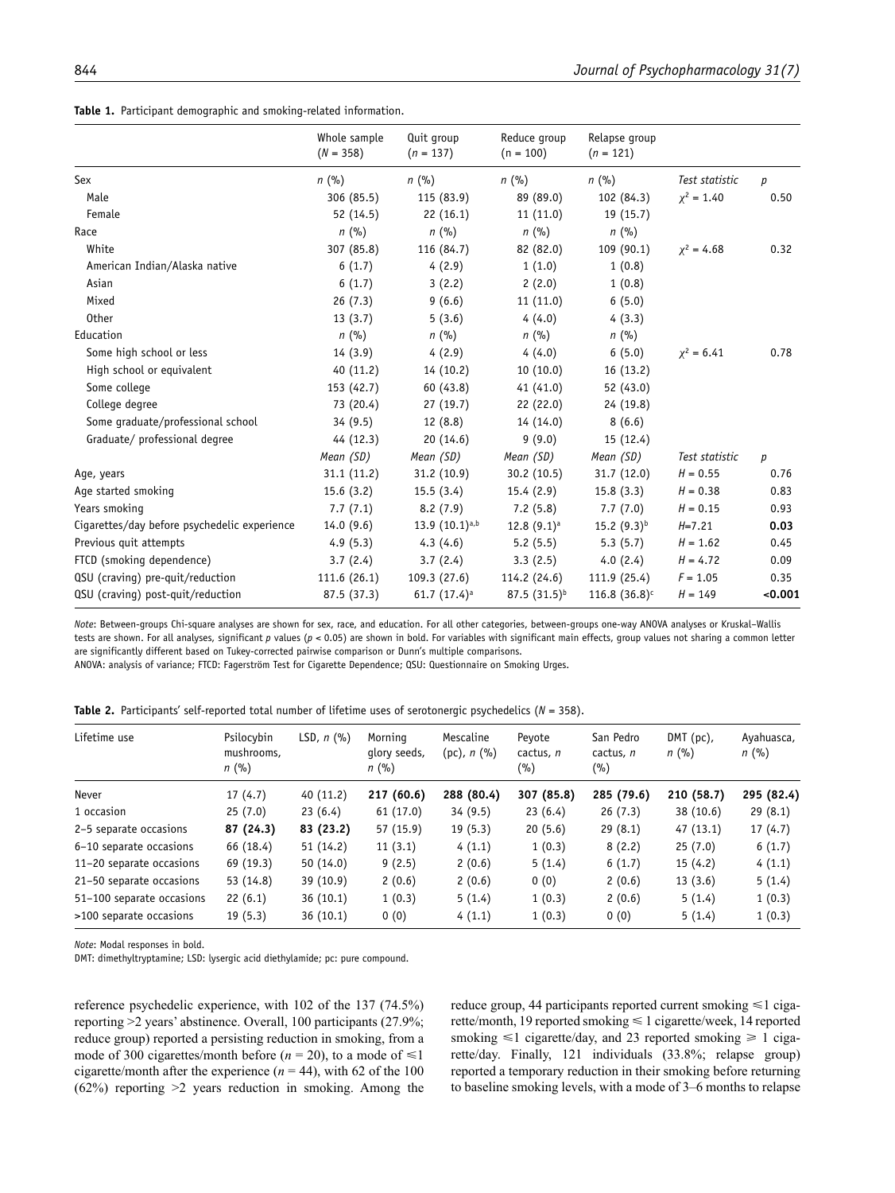|  |  |  |  | <b>Table 1.</b> Participant demographic and smoking-related information. |
|--|--|--|--|--------------------------------------------------------------------------|
|--|--|--|--|--------------------------------------------------------------------------|

|                                              | Whole sample<br>$(N = 358)$ | Quit group<br>$(n = 137)$  | Reduce group<br>$(n = 100)$ | Relapse group<br>$(n = 121)$ |                 |         |
|----------------------------------------------|-----------------------------|----------------------------|-----------------------------|------------------------------|-----------------|---------|
| Sex                                          | $n$ (%)                     | $n$ (%)                    | $n$ (%)                     | $n$ (%)                      | Test statistic  | p       |
| Male                                         | 306 (85.5)                  | 115 (83.9)                 | 89 (89.0)                   | 102 (84.3)                   | $\chi^2 = 1.40$ | 0.50    |
| Female                                       | 52 (14.5)                   | 22(16.1)                   | 11(11.0)                    | 19(15.7)                     |                 |         |
| Race                                         | $n$ (%)                     | $n$ (%)                    | $n$ (%)                     | $n$ (%)                      |                 |         |
| White                                        | 307 (85.8)                  | 116 (84.7)                 | 82 (82.0)                   | 109(90.1)                    | $x^2 = 4.68$    | 0.32    |
| American Indian/Alaska native                | 6(1.7)                      | 4(2.9)                     | 1(1.0)                      | 1(0.8)                       |                 |         |
| Asian                                        | 6(1.7)                      | 3(2.2)                     | 2(2.0)                      | 1(0.8)                       |                 |         |
| Mixed                                        | 26(7.3)                     | 9(6.6)                     | 11(11.0)                    | 6(5.0)                       |                 |         |
| <b>Other</b>                                 | 13(3.7)                     | 5(3.6)                     | 4(4.0)                      | 4(3.3)                       |                 |         |
| Education                                    | $n$ (%)                     | $n$ (%)                    | $n$ (%)                     | $n$ (%)                      |                 |         |
| Some high school or less                     | 14(3.9)                     | 4(2.9)                     | 4(4.0)                      | 6(5.0)                       | $x^2 = 6.41$    | 0.78    |
| High school or equivalent                    | 40(11.2)                    | 14(10.2)                   | 10(10.0)                    | 16(13.2)                     |                 |         |
| Some college                                 | 153 (42.7)                  | 60 (43.8)                  | 41(41.0)                    | 52 (43.0)                    |                 |         |
| College degree                               | 73 (20.4)                   | 27(19.7)                   | 22(22.0)                    | 24 (19.8)                    |                 |         |
| Some graduate/professional school            | 34(9.5)                     | 12(8.8)                    | 14 (14.0)                   | 8(6.6)                       |                 |         |
| Graduate/ professional degree                | 44 (12.3)                   | 20(14.6)                   | 9(9.0)                      | 15(12.4)                     |                 |         |
|                                              | Mean (SD)                   | Mean (SD)                  | Mean (SD)                   | Mean (SD)                    | Test statistic  | р       |
| Age, years                                   | 31.1(11.2)                  | 31.2(10.9)                 | 30.2(10.5)                  | 31.7(12.0)                   | $H = 0.55$      | 0.76    |
| Age started smoking                          | 15.6(3.2)                   | 15.5(3.4)                  | 15.4(2.9)                   | 15.8(3.3)                    | $H = 0.38$      | 0.83    |
| Years smoking                                | 7.7(7.1)                    | 8.2(7.9)                   | 7.2(5.8)                    | 7.7(7.0)                     | $H = 0.15$      | 0.93    |
| Cigarettes/day before psychedelic experience | 14.0(9.6)                   | 13.9 $(10.1)^{a,b}$        | $12.8(9.1)^a$               | $15.2(9.3)^{b}$              | $H = 7.21$      | 0.03    |
| Previous quit attempts                       | 4.9(5.3)                    | 4.3(4.6)                   | 5.2(5.5)                    | 5.3(5.7)                     | $H = 1.62$      | 0.45    |
| FTCD (smoking dependence)                    | 3.7(2.4)                    | 3.7(2.4)                   | 3.3(2.5)                    | 4.0(2.4)                     | $H = 4.72$      | 0.09    |
| QSU (craving) pre-quit/reduction             | 111.6(26.1)                 | 109.3(27.6)                | 114.2 (24.6)                | 111.9(25.4)                  | $F = 1.05$      | 0.35    |
| QSU (craving) post-quit/reduction            | 87.5 (37.3)                 | 61.7 $(17.4)$ <sup>a</sup> | $87.5(31.5)^{b}$            | 116.8 $(36.8)^c$             | $H = 149$       | < 0.001 |

*Note*: Between-groups Chi-square analyses are shown for sex, race, and education. For all other categories, between-groups one-way ANOVA analyses or Kruskal–Wallis tests are shown. For all analyses, significant *p* values (*p* < 0.05) are shown in bold. For variables with significant main effects, group values not sharing a common letter are significantly different based on Tukey-corrected pairwise comparison or Dunn's multiple comparisons.

ANOVA: analysis of variance; FTCD: Fagerström Test for Cigarette Dependence; QSU: Questionnaire on Smoking Urges.

**Table 2.** Participants' self-reported total number of lifetime uses of serotonergic psychedelics (*N* = 358).

| Lifetime use              | Psilocybin<br>mushrooms,<br>$n$ (%) | LSD, $n$ $(\% )$ | Mornina<br>glory seeds,<br>n(%) | Mescaline<br>$(pc)$ , n $(\% )$ | Peyote<br>cactus, n<br>(%) | San Pedro<br>cactus, n<br>(%) | $DMT$ (pc),<br>$n$ (%) | Ayahuasca,<br>$n$ (%) |
|---------------------------|-------------------------------------|------------------|---------------------------------|---------------------------------|----------------------------|-------------------------------|------------------------|-----------------------|
| Never                     | 17(4.7)                             | 40(11.2)         | 217 (60.6)                      | 288 (80.4)                      | 307 (85.8)                 | 285 (79.6)                    | 210 (58.7)             | 295 (82.4)            |
| 1 occasion                | 25(7.0)                             | 23(6.4)          | 61(17.0)                        | 34(9.5)                         | 23(6.4)                    | 26(7.3)                       | 38 (10.6)              | 29(8.1)               |
| 2-5 separate occasions    | 87 (24.3)                           | 83 (23.2)        | 57 (15.9)                       | 19(5.3)                         | 20(5.6)                    | 29(8.1)                       | 47(13.1)               | 17(4.7)               |
| 6-10 separate occasions   | 66 (18.4)                           | 51(14.2)         | 11(3.1)                         | 4(1.1)                          | 1(0.3)                     | 8(2.2)                        | 25(7.0)                | 6(1.7)                |
| 11-20 separate occasions  | 69 (19.3)                           | 50(14.0)         | 9(2.5)                          | 2(0.6)                          | 5(1.4)                     | 6(1.7)                        | 15(4.2)                | 4(1.1)                |
| 21-50 separate occasions  | 53 (14.8)                           | 39(10.9)         | 2(0.6)                          | 2(0.6)                          | 0(0)                       | 2(0.6)                        | 13(3.6)                | 5(1.4)                |
| 51-100 separate occasions | 22(6.1)                             | 36(10.1)         | 1(0.3)                          | 5(1.4)                          | 1(0.3)                     | 2(0.6)                        | 5(1.4)                 | 1(0.3)                |
| >100 separate occasions   | 19(5.3)                             | 36(10.1)         | 0(0)                            | 4(1.1)                          | 1(0.3)                     | 0(0)                          | 5(1.4)                 | 1(0.3)                |

*Note*: Modal responses in bold.

DMT: dimethyltryptamine; LSD: lysergic acid diethylamide; pc: pure compound.

reference psychedelic experience, with 102 of the 137 (74.5%) reporting >2 years' abstinence. Overall, 100 participants (27.9%; reduce group) reported a persisting reduction in smoking, from a mode of 300 cigarettes/month before ( $n = 20$ ), to a mode of  $\leq 1$ cigarette/month after the experience  $(n = 44)$ , with 62 of the 100 (62%) reporting >2 years reduction in smoking. Among the reduce group, 44 participants reported current smoking  $\leq 1$  cigarette/month, 19 reported smoking ≤ 1 cigarette/week, 14 reported smoking  $\leq 1$  cigarette/day, and 23 reported smoking  $\geq 1$  cigarette/day. Finally, 121 individuals (33.8%; relapse group) reported a temporary reduction in their smoking before returning to baseline smoking levels, with a mode of 3–6 months to relapse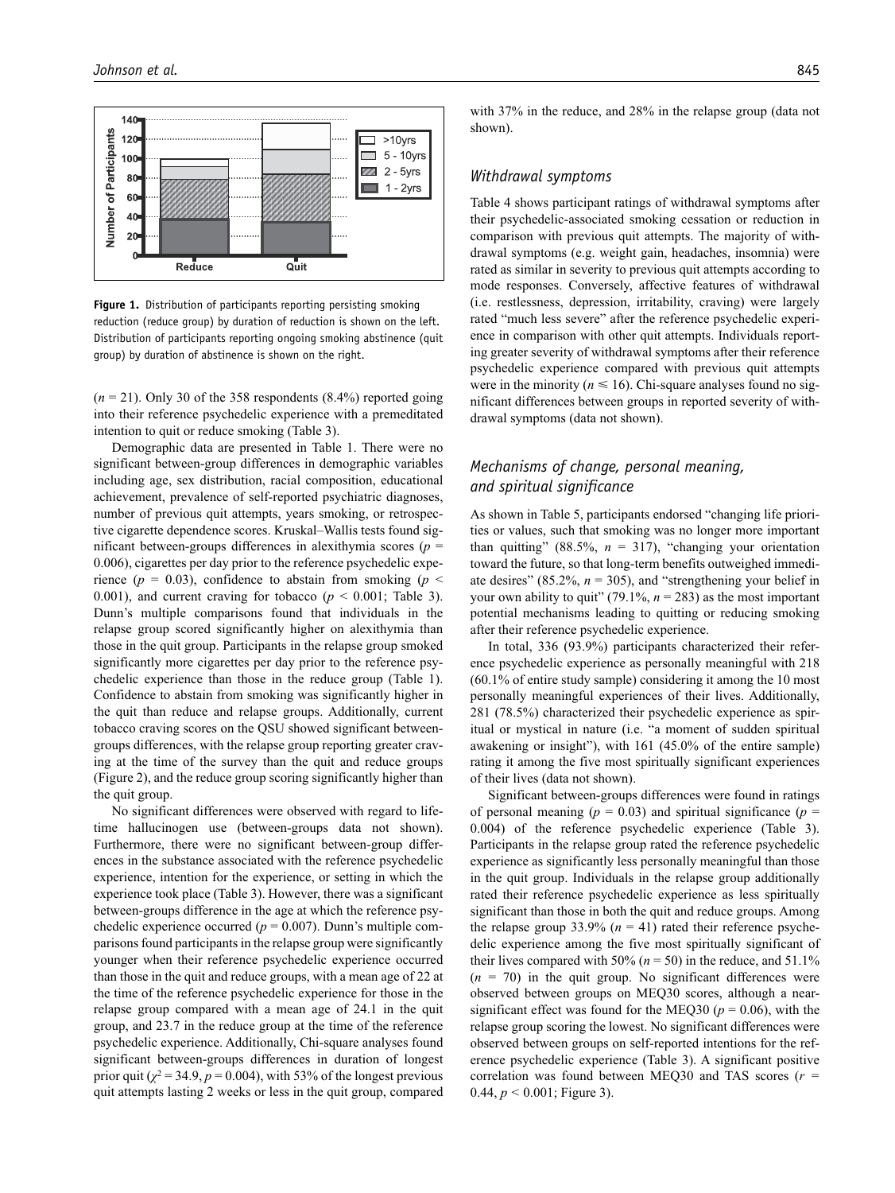

Figure 1. Distribution of participants reporting persisting smoking reduction (reduce group) by duration of reduction is shown on the left. Distribution of participants reporting ongoing smoking abstinence (quit group) by duration of abstinence is shown on the right.

 $(n = 21)$ . Only 30 of the 358 respondents  $(8.4\%)$  reported going into their reference psychedelic experience with a premeditated intention to quit or reduce smoking (Table 3).

Demographic data are presented in Table 1. There were no significant between-group differences in demographic variables including age, sex distribution, racial composition, educational achievement, prevalence of self-reported psychiatric diagnoses, number of previous quit attempts, years smoking, or retrospective cigarette dependence scores. Kruskal–Wallis tests found significant between-groups differences in alexithymia scores ( $p =$ 0.006), cigarettes per day prior to the reference psychedelic experience ( $p = 0.03$ ), confidence to abstain from smoking ( $p \le$ 0.001), and current craving for tobacco ( $p < 0.001$ ; Table 3). Dunn's multiple comparisons found that individuals in the relapse group scored significantly higher on alexithymia than those in the quit group. Participants in the relapse group smoked significantly more cigarettes per day prior to the reference psychedelic experience than those in the reduce group (Table 1). Confidence to abstain from smoking was significantly higher in the quit than reduce and relapse groups. Additionally, current tobacco craving scores on the QSU showed significant betweengroups differences, with the relapse group reporting greater craving at the time of the survey than the quit and reduce groups (Figure 2), and the reduce group scoring significantly higher than the quit group.

No significant differences were observed with regard to lifetime hallucinogen use (between-groups data not shown). Furthermore, there were no significant between-group differences in the substance associated with the reference psychedelic experience, intention for the experience, or setting in which the experience took place (Table 3). However, there was a significant between-groups difference in the age at which the reference psychedelic experience occurred ( $p = 0.007$ ). Dunn's multiple comparisons found participants in the relapse group were significantly younger when their reference psychedelic experience occurred than those in the quit and reduce groups, with a mean age of 22 at the time of the reference psychedelic experience for those in the relapse group compared with a mean age of 24.1 in the quit group, and 23.7 in the reduce group at the time of the reference psychedelic experience. Additionally, Chi-square analyses found significant between-groups differences in duration of longest prior quit ( $\chi^2$  = 34.9,  $p$  = 0.004), with 53% of the longest previous quit attempts lasting 2 weeks or less in the quit group, compared

with 37% in the reduce, and 28% in the relapse group (data not shown).

## *Withdrawal symptoms*

Table 4 shows participant ratings of withdrawal symptoms after their psychedelic-associated smoking cessation or reduction in comparison with previous quit attempts. The majority of withdrawal symptoms (e.g. weight gain, headaches, insomnia) were rated as similar in severity to previous quit attempts according to mode responses. Conversely, affective features of withdrawal (i.e. restlessness, depression, irritability, craving) were largely rated "much less severe" after the reference psychedelic experience in comparison with other quit attempts. Individuals reporting greater severity of withdrawal symptoms after their reference psychedelic experience compared with previous quit attempts were in the minority ( $n \le 16$ ). Chi-square analyses found no significant differences between groups in reported severity of withdrawal symptoms (data not shown).

## *Mechanisms of change, personal meaning, and spiritual significance*

As shown in Table 5, participants endorsed "changing life priorities or values, such that smoking was no longer more important than quitting" (88.5%,  $n = 317$ ), "changing your orientation toward the future, so that long-term benefits outweighed immediate desires"  $(85.2\%, n = 305)$ , and "strengthening your belief in your own ability to quit" (79.1%,  $n = 283$ ) as the most important potential mechanisms leading to quitting or reducing smoking after their reference psychedelic experience.

In total, 336 (93.9%) participants characterized their reference psychedelic experience as personally meaningful with 218 (60.1% of entire study sample) considering it among the 10 most personally meaningful experiences of their lives. Additionally, 281 (78.5%) characterized their psychedelic experience as spiritual or mystical in nature (i.e. "a moment of sudden spiritual awakening or insight"), with 161 (45.0% of the entire sample) rating it among the five most spiritually significant experiences of their lives (data not shown).

Significant between-groups differences were found in ratings of personal meaning ( $p = 0.03$ ) and spiritual significance ( $p =$ 0.004) of the reference psychedelic experience (Table 3). Participants in the relapse group rated the reference psychedelic experience as significantly less personally meaningful than those in the quit group. Individuals in the relapse group additionally rated their reference psychedelic experience as less spiritually significant than those in both the quit and reduce groups. Among the relapse group 33.9%  $(n = 41)$  rated their reference psychedelic experience among the five most spiritually significant of their lives compared with 50% ( $n = 50$ ) in the reduce, and 51.1%  $(n = 70)$  in the quit group. No significant differences were observed between groups on MEQ30 scores, although a nearsignificant effect was found for the MEQ30 ( $p = 0.06$ ), with the relapse group scoring the lowest. No significant differences were observed between groups on self-reported intentions for the reference psychedelic experience (Table 3). A significant positive correlation was found between MEQ30 and TAS scores (*r =* 0.44, *p <* 0.001; Figure 3).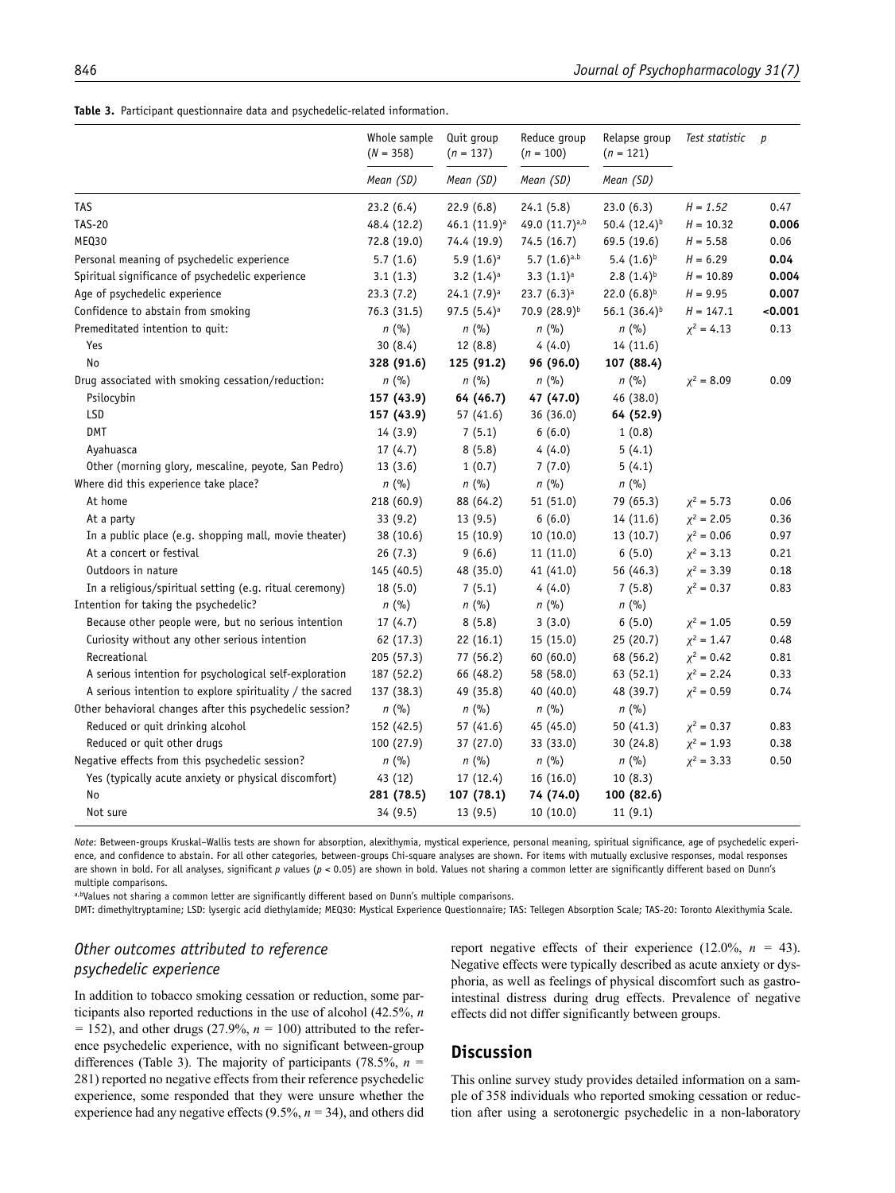|  |  |  |  | Table 3. Participant questionnaire data and psychedelic-related information. |  |
|--|--|--|--|------------------------------------------------------------------------------|--|
|--|--|--|--|------------------------------------------------------------------------------|--|

| Mean (SD)<br>Mean (SD)<br>Mean (SD)<br>Mean (SD)<br>$H = 1.52$<br>23.2(6.4)<br>22.9(6.8)<br>24.1(5.8)<br>23.0(6.3)<br>0.47<br>49.0 (11.7)a,b<br>50.4 (12.4) <sup>b</sup><br>0.006<br>46.1 (11.9) <sup>a</sup><br>$H = 10.32$<br>48.4 (12.2)<br>72.8 (19.0)<br>74.4 (19.9)<br>74.5 (16.7)<br>69.5 (19.6)<br>$H = 5.58$<br>0.06<br>5.7(1.6)<br>$5.9(1.6)$ <sup>a</sup><br>$5.7(1.6)^{a.b}$<br>$5.4(1.6)^{b}$<br>$H = 6.29$<br>0.04<br>3.2 $(1.4)$ <sup>a</sup><br>$3.3(1.1)^a$<br>$2.8(1.4)^{b}$<br>$H = 10.89$<br>0.004<br>3.1(1.3)<br>22.0 $(6.8)^{b}$<br>23.3(7.2)<br>$23.7(6.3)^a$<br>$H = 9.95$<br>0.007<br>$24.1(7.9)^a$<br>Confidence to abstain from smoking<br>97.5 $(5.4)$ <sup>a</sup><br>70.9 (28.9)b<br>56.1 (36.4) <sup>b</sup><br>$H = 147.1$<br>0.001<br>76.3 (31.5)<br>$n$ (%)<br>$n$ (%)<br>$n$ (%)<br>$n$ (%)<br>$\chi^2$ = 4.13<br>0.13<br>30(8.4)<br>12(8.8)<br>4(4.0)<br>14 (11.6)<br>Yes<br>328 (91.6)<br>125 (91.2)<br>96 (96.0)<br>107 (88.4)<br>No<br>Drug associated with smoking cessation/reduction:<br>$n$ (%)<br>$n$ (%)<br>$n$ (%)<br>$n$ (%)<br>$x^2 = 8.09$<br>0.09<br>Psilocybin<br>157 (43.9)<br>64 (46.7)<br>47 (47.0)<br>46 (38.0)<br>LSD<br>157 (43.9)<br>36 (36.0)<br>57(41.6)<br>64 (52.9)<br>DMT<br>6(6.0)<br>14 (3.9)<br>7(5.1)<br>1(0.8)<br>17(4.7)<br>8(5.8)<br>4(4.0)<br>5(4.1)<br>Ayahuasca<br>Other (morning glory, mescaline, peyote, San Pedro)<br>13(3.6)<br>1(0.7)<br>7(7.0)<br>5(4.1)<br>Where did this experience take place?<br>$n$ (%)<br>$n$ (%)<br>$n$ (%)<br>$n$ (%)<br>At home<br>218 (60.9)<br>88 (64.2)<br>51(51.0)<br>79 (65.3)<br>$\chi^2 = 5.73$<br>0.06<br>13(9.5)<br>6(6.0)<br>14(11.6)<br>$\chi^2 = 2.05$<br>At a party<br>33(9.2)<br>0.36<br>In a public place (e.g. shopping mall, movie theater)<br>15(10.9)<br>10(10.0)<br>13(10.7)<br>$\chi^2 = 0.06$<br>38(10.6)<br>0.97<br>At a concert or festival<br>9(6.6)<br>6(5.0)<br>$\chi^2 = 3.13$<br>26(7.3)<br>11(11.0)<br>0.21<br>56 (46.3)<br>$\chi^2 = 3.39$<br>Outdoors in nature<br>145 (40.5)<br>48 (35.0)<br>41(41.0)<br>0.18<br>In a religious/spiritual setting (e.g. ritual ceremony)<br>4(4.0)<br>7(5.8)<br>$\chi^2 = 0.37$<br>18(5.0)<br>7(5.1)<br>0.83<br>n(%)<br>$n$ (%)<br>$n$ (%)<br>$n$ (%)<br>Because other people were, but no serious intention<br>17(4.7)<br>8(5.8)<br>3(3.0)<br>6(5.0)<br>$\chi^2 = 1.05$<br>0.59<br>Curiosity without any other serious intention<br>25(20.7)<br>$\chi^2 = 1.47$<br>62 (17.3)<br>22(16.1)<br>15(15.0)<br>0.48<br>Recreational<br>77 (56.2)<br>60(60.0)<br>68 (56.2)<br>$\chi^2 = 0.42$<br>205(57.3)<br>0.81<br>$\chi^2$ = 2.24<br>A serious intention for psychological self-exploration<br>187 (52.2)<br>66 (48.2)<br>58 (58.0)<br>63 (52.1)<br>0.33<br>$\chi^2 = 0.59$<br>A serious intention to explore spirituality / the sacred<br>137 (38.3)<br>40 (40.0)<br>48 (39.7)<br>49 (35.8)<br>0.74<br>Other behavioral changes after this psychedelic session?<br>$n$ (%)<br>$n$ (%)<br>$n$ (%)<br>$n$ (%)<br>Reduced or quit drinking alcohol<br>50(41.3)<br>152 (42.5)<br>57(41.6)<br>45 (45.0)<br>$\chi^2 = 0.37$<br>0.83<br>Reduced or quit other drugs<br>100 (27.9)<br>30(24.8)<br>$\chi^2 = 1.93$<br>0.38<br>37(27.0)<br>33 (33.0)<br>Negative effects from this psychedelic session?<br>$n$ (%)<br>$n$ (%)<br>$\chi^2 = 3.33$<br>$n$ (%)<br>$n$ (%)<br>0.50<br>Yes (typically acute anxiety or physical discomfort)<br>43 (12)<br>17(12.4)<br>16(16.0)<br>10(8.3)<br>No<br>107 (78.1)<br>100 (82.6)<br>281 (78.5)<br>74 (74.0) |                                                  | Whole sample<br>$(N = 358)$ | Quit group<br>$(n = 137)$ | Reduce group<br>$(n = 100)$ | Relapse group<br>$(n = 121)$ | Test statistic | $\boldsymbol{p}$ |
|-----------------------------------------------------------------------------------------------------------------------------------------------------------------------------------------------------------------------------------------------------------------------------------------------------------------------------------------------------------------------------------------------------------------------------------------------------------------------------------------------------------------------------------------------------------------------------------------------------------------------------------------------------------------------------------------------------------------------------------------------------------------------------------------------------------------------------------------------------------------------------------------------------------------------------------------------------------------------------------------------------------------------------------------------------------------------------------------------------------------------------------------------------------------------------------------------------------------------------------------------------------------------------------------------------------------------------------------------------------------------------------------------------------------------------------------------------------------------------------------------------------------------------------------------------------------------------------------------------------------------------------------------------------------------------------------------------------------------------------------------------------------------------------------------------------------------------------------------------------------------------------------------------------------------------------------------------------------------------------------------------------------------------------------------------------------------------------------------------------------------------------------------------------------------------------------------------------------------------------------------------------------------------------------------------------------------------------------------------------------------------------------------------------------------------------------------------------------------------------------------------------------------------------------------------------------------------------------------------------------------------------------------------------------------------------------------------------------------------------------------------------------------------------------------------------------------------------------------------------------------------------------------------------------------------------------------------------------------------------------------------------------------------------------------------------------------------------------------------------------------------------------------------------------------------------------------------------------------------------------------------------------------------------------------------------------------------------------------------------------------------------------------------------------------------------------------------------------------------------------------------------------|--------------------------------------------------|-----------------------------|---------------------------|-----------------------------|------------------------------|----------------|------------------|
|                                                                                                                                                                                                                                                                                                                                                                                                                                                                                                                                                                                                                                                                                                                                                                                                                                                                                                                                                                                                                                                                                                                                                                                                                                                                                                                                                                                                                                                                                                                                                                                                                                                                                                                                                                                                                                                                                                                                                                                                                                                                                                                                                                                                                                                                                                                                                                                                                                                                                                                                                                                                                                                                                                                                                                                                                                                                                                                                                                                                                                                                                                                                                                                                                                                                                                                                                                                                                                                                                                                 |                                                  |                             |                           |                             |                              |                |                  |
|                                                                                                                                                                                                                                                                                                                                                                                                                                                                                                                                                                                                                                                                                                                                                                                                                                                                                                                                                                                                                                                                                                                                                                                                                                                                                                                                                                                                                                                                                                                                                                                                                                                                                                                                                                                                                                                                                                                                                                                                                                                                                                                                                                                                                                                                                                                                                                                                                                                                                                                                                                                                                                                                                                                                                                                                                                                                                                                                                                                                                                                                                                                                                                                                                                                                                                                                                                                                                                                                                                                 | <b>TAS</b>                                       |                             |                           |                             |                              |                |                  |
|                                                                                                                                                                                                                                                                                                                                                                                                                                                                                                                                                                                                                                                                                                                                                                                                                                                                                                                                                                                                                                                                                                                                                                                                                                                                                                                                                                                                                                                                                                                                                                                                                                                                                                                                                                                                                                                                                                                                                                                                                                                                                                                                                                                                                                                                                                                                                                                                                                                                                                                                                                                                                                                                                                                                                                                                                                                                                                                                                                                                                                                                                                                                                                                                                                                                                                                                                                                                                                                                                                                 | <b>TAS-20</b>                                    |                             |                           |                             |                              |                |                  |
|                                                                                                                                                                                                                                                                                                                                                                                                                                                                                                                                                                                                                                                                                                                                                                                                                                                                                                                                                                                                                                                                                                                                                                                                                                                                                                                                                                                                                                                                                                                                                                                                                                                                                                                                                                                                                                                                                                                                                                                                                                                                                                                                                                                                                                                                                                                                                                                                                                                                                                                                                                                                                                                                                                                                                                                                                                                                                                                                                                                                                                                                                                                                                                                                                                                                                                                                                                                                                                                                                                                 | MEQ30                                            |                             |                           |                             |                              |                |                  |
|                                                                                                                                                                                                                                                                                                                                                                                                                                                                                                                                                                                                                                                                                                                                                                                                                                                                                                                                                                                                                                                                                                                                                                                                                                                                                                                                                                                                                                                                                                                                                                                                                                                                                                                                                                                                                                                                                                                                                                                                                                                                                                                                                                                                                                                                                                                                                                                                                                                                                                                                                                                                                                                                                                                                                                                                                                                                                                                                                                                                                                                                                                                                                                                                                                                                                                                                                                                                                                                                                                                 | Personal meaning of psychedelic experience       |                             |                           |                             |                              |                |                  |
|                                                                                                                                                                                                                                                                                                                                                                                                                                                                                                                                                                                                                                                                                                                                                                                                                                                                                                                                                                                                                                                                                                                                                                                                                                                                                                                                                                                                                                                                                                                                                                                                                                                                                                                                                                                                                                                                                                                                                                                                                                                                                                                                                                                                                                                                                                                                                                                                                                                                                                                                                                                                                                                                                                                                                                                                                                                                                                                                                                                                                                                                                                                                                                                                                                                                                                                                                                                                                                                                                                                 | Spiritual significance of psychedelic experience |                             |                           |                             |                              |                |                  |
|                                                                                                                                                                                                                                                                                                                                                                                                                                                                                                                                                                                                                                                                                                                                                                                                                                                                                                                                                                                                                                                                                                                                                                                                                                                                                                                                                                                                                                                                                                                                                                                                                                                                                                                                                                                                                                                                                                                                                                                                                                                                                                                                                                                                                                                                                                                                                                                                                                                                                                                                                                                                                                                                                                                                                                                                                                                                                                                                                                                                                                                                                                                                                                                                                                                                                                                                                                                                                                                                                                                 | Age of psychedelic experience                    |                             |                           |                             |                              |                |                  |
|                                                                                                                                                                                                                                                                                                                                                                                                                                                                                                                                                                                                                                                                                                                                                                                                                                                                                                                                                                                                                                                                                                                                                                                                                                                                                                                                                                                                                                                                                                                                                                                                                                                                                                                                                                                                                                                                                                                                                                                                                                                                                                                                                                                                                                                                                                                                                                                                                                                                                                                                                                                                                                                                                                                                                                                                                                                                                                                                                                                                                                                                                                                                                                                                                                                                                                                                                                                                                                                                                                                 |                                                  |                             |                           |                             |                              |                |                  |
|                                                                                                                                                                                                                                                                                                                                                                                                                                                                                                                                                                                                                                                                                                                                                                                                                                                                                                                                                                                                                                                                                                                                                                                                                                                                                                                                                                                                                                                                                                                                                                                                                                                                                                                                                                                                                                                                                                                                                                                                                                                                                                                                                                                                                                                                                                                                                                                                                                                                                                                                                                                                                                                                                                                                                                                                                                                                                                                                                                                                                                                                                                                                                                                                                                                                                                                                                                                                                                                                                                                 | Premeditated intention to quit:                  |                             |                           |                             |                              |                |                  |
|                                                                                                                                                                                                                                                                                                                                                                                                                                                                                                                                                                                                                                                                                                                                                                                                                                                                                                                                                                                                                                                                                                                                                                                                                                                                                                                                                                                                                                                                                                                                                                                                                                                                                                                                                                                                                                                                                                                                                                                                                                                                                                                                                                                                                                                                                                                                                                                                                                                                                                                                                                                                                                                                                                                                                                                                                                                                                                                                                                                                                                                                                                                                                                                                                                                                                                                                                                                                                                                                                                                 |                                                  |                             |                           |                             |                              |                |                  |
|                                                                                                                                                                                                                                                                                                                                                                                                                                                                                                                                                                                                                                                                                                                                                                                                                                                                                                                                                                                                                                                                                                                                                                                                                                                                                                                                                                                                                                                                                                                                                                                                                                                                                                                                                                                                                                                                                                                                                                                                                                                                                                                                                                                                                                                                                                                                                                                                                                                                                                                                                                                                                                                                                                                                                                                                                                                                                                                                                                                                                                                                                                                                                                                                                                                                                                                                                                                                                                                                                                                 |                                                  |                             |                           |                             |                              |                |                  |
|                                                                                                                                                                                                                                                                                                                                                                                                                                                                                                                                                                                                                                                                                                                                                                                                                                                                                                                                                                                                                                                                                                                                                                                                                                                                                                                                                                                                                                                                                                                                                                                                                                                                                                                                                                                                                                                                                                                                                                                                                                                                                                                                                                                                                                                                                                                                                                                                                                                                                                                                                                                                                                                                                                                                                                                                                                                                                                                                                                                                                                                                                                                                                                                                                                                                                                                                                                                                                                                                                                                 |                                                  |                             |                           |                             |                              |                |                  |
|                                                                                                                                                                                                                                                                                                                                                                                                                                                                                                                                                                                                                                                                                                                                                                                                                                                                                                                                                                                                                                                                                                                                                                                                                                                                                                                                                                                                                                                                                                                                                                                                                                                                                                                                                                                                                                                                                                                                                                                                                                                                                                                                                                                                                                                                                                                                                                                                                                                                                                                                                                                                                                                                                                                                                                                                                                                                                                                                                                                                                                                                                                                                                                                                                                                                                                                                                                                                                                                                                                                 |                                                  |                             |                           |                             |                              |                |                  |
|                                                                                                                                                                                                                                                                                                                                                                                                                                                                                                                                                                                                                                                                                                                                                                                                                                                                                                                                                                                                                                                                                                                                                                                                                                                                                                                                                                                                                                                                                                                                                                                                                                                                                                                                                                                                                                                                                                                                                                                                                                                                                                                                                                                                                                                                                                                                                                                                                                                                                                                                                                                                                                                                                                                                                                                                                                                                                                                                                                                                                                                                                                                                                                                                                                                                                                                                                                                                                                                                                                                 |                                                  |                             |                           |                             |                              |                |                  |
|                                                                                                                                                                                                                                                                                                                                                                                                                                                                                                                                                                                                                                                                                                                                                                                                                                                                                                                                                                                                                                                                                                                                                                                                                                                                                                                                                                                                                                                                                                                                                                                                                                                                                                                                                                                                                                                                                                                                                                                                                                                                                                                                                                                                                                                                                                                                                                                                                                                                                                                                                                                                                                                                                                                                                                                                                                                                                                                                                                                                                                                                                                                                                                                                                                                                                                                                                                                                                                                                                                                 |                                                  |                             |                           |                             |                              |                |                  |
|                                                                                                                                                                                                                                                                                                                                                                                                                                                                                                                                                                                                                                                                                                                                                                                                                                                                                                                                                                                                                                                                                                                                                                                                                                                                                                                                                                                                                                                                                                                                                                                                                                                                                                                                                                                                                                                                                                                                                                                                                                                                                                                                                                                                                                                                                                                                                                                                                                                                                                                                                                                                                                                                                                                                                                                                                                                                                                                                                                                                                                                                                                                                                                                                                                                                                                                                                                                                                                                                                                                 |                                                  |                             |                           |                             |                              |                |                  |
|                                                                                                                                                                                                                                                                                                                                                                                                                                                                                                                                                                                                                                                                                                                                                                                                                                                                                                                                                                                                                                                                                                                                                                                                                                                                                                                                                                                                                                                                                                                                                                                                                                                                                                                                                                                                                                                                                                                                                                                                                                                                                                                                                                                                                                                                                                                                                                                                                                                                                                                                                                                                                                                                                                                                                                                                                                                                                                                                                                                                                                                                                                                                                                                                                                                                                                                                                                                                                                                                                                                 |                                                  |                             |                           |                             |                              |                |                  |
|                                                                                                                                                                                                                                                                                                                                                                                                                                                                                                                                                                                                                                                                                                                                                                                                                                                                                                                                                                                                                                                                                                                                                                                                                                                                                                                                                                                                                                                                                                                                                                                                                                                                                                                                                                                                                                                                                                                                                                                                                                                                                                                                                                                                                                                                                                                                                                                                                                                                                                                                                                                                                                                                                                                                                                                                                                                                                                                                                                                                                                                                                                                                                                                                                                                                                                                                                                                                                                                                                                                 |                                                  |                             |                           |                             |                              |                |                  |
|                                                                                                                                                                                                                                                                                                                                                                                                                                                                                                                                                                                                                                                                                                                                                                                                                                                                                                                                                                                                                                                                                                                                                                                                                                                                                                                                                                                                                                                                                                                                                                                                                                                                                                                                                                                                                                                                                                                                                                                                                                                                                                                                                                                                                                                                                                                                                                                                                                                                                                                                                                                                                                                                                                                                                                                                                                                                                                                                                                                                                                                                                                                                                                                                                                                                                                                                                                                                                                                                                                                 |                                                  |                             |                           |                             |                              |                |                  |
|                                                                                                                                                                                                                                                                                                                                                                                                                                                                                                                                                                                                                                                                                                                                                                                                                                                                                                                                                                                                                                                                                                                                                                                                                                                                                                                                                                                                                                                                                                                                                                                                                                                                                                                                                                                                                                                                                                                                                                                                                                                                                                                                                                                                                                                                                                                                                                                                                                                                                                                                                                                                                                                                                                                                                                                                                                                                                                                                                                                                                                                                                                                                                                                                                                                                                                                                                                                                                                                                                                                 |                                                  |                             |                           |                             |                              |                |                  |
|                                                                                                                                                                                                                                                                                                                                                                                                                                                                                                                                                                                                                                                                                                                                                                                                                                                                                                                                                                                                                                                                                                                                                                                                                                                                                                                                                                                                                                                                                                                                                                                                                                                                                                                                                                                                                                                                                                                                                                                                                                                                                                                                                                                                                                                                                                                                                                                                                                                                                                                                                                                                                                                                                                                                                                                                                                                                                                                                                                                                                                                                                                                                                                                                                                                                                                                                                                                                                                                                                                                 |                                                  |                             |                           |                             |                              |                |                  |
|                                                                                                                                                                                                                                                                                                                                                                                                                                                                                                                                                                                                                                                                                                                                                                                                                                                                                                                                                                                                                                                                                                                                                                                                                                                                                                                                                                                                                                                                                                                                                                                                                                                                                                                                                                                                                                                                                                                                                                                                                                                                                                                                                                                                                                                                                                                                                                                                                                                                                                                                                                                                                                                                                                                                                                                                                                                                                                                                                                                                                                                                                                                                                                                                                                                                                                                                                                                                                                                                                                                 |                                                  |                             |                           |                             |                              |                |                  |
|                                                                                                                                                                                                                                                                                                                                                                                                                                                                                                                                                                                                                                                                                                                                                                                                                                                                                                                                                                                                                                                                                                                                                                                                                                                                                                                                                                                                                                                                                                                                                                                                                                                                                                                                                                                                                                                                                                                                                                                                                                                                                                                                                                                                                                                                                                                                                                                                                                                                                                                                                                                                                                                                                                                                                                                                                                                                                                                                                                                                                                                                                                                                                                                                                                                                                                                                                                                                                                                                                                                 |                                                  |                             |                           |                             |                              |                |                  |
|                                                                                                                                                                                                                                                                                                                                                                                                                                                                                                                                                                                                                                                                                                                                                                                                                                                                                                                                                                                                                                                                                                                                                                                                                                                                                                                                                                                                                                                                                                                                                                                                                                                                                                                                                                                                                                                                                                                                                                                                                                                                                                                                                                                                                                                                                                                                                                                                                                                                                                                                                                                                                                                                                                                                                                                                                                                                                                                                                                                                                                                                                                                                                                                                                                                                                                                                                                                                                                                                                                                 |                                                  |                             |                           |                             |                              |                |                  |
|                                                                                                                                                                                                                                                                                                                                                                                                                                                                                                                                                                                                                                                                                                                                                                                                                                                                                                                                                                                                                                                                                                                                                                                                                                                                                                                                                                                                                                                                                                                                                                                                                                                                                                                                                                                                                                                                                                                                                                                                                                                                                                                                                                                                                                                                                                                                                                                                                                                                                                                                                                                                                                                                                                                                                                                                                                                                                                                                                                                                                                                                                                                                                                                                                                                                                                                                                                                                                                                                                                                 | Intention for taking the psychedelic?            |                             |                           |                             |                              |                |                  |
|                                                                                                                                                                                                                                                                                                                                                                                                                                                                                                                                                                                                                                                                                                                                                                                                                                                                                                                                                                                                                                                                                                                                                                                                                                                                                                                                                                                                                                                                                                                                                                                                                                                                                                                                                                                                                                                                                                                                                                                                                                                                                                                                                                                                                                                                                                                                                                                                                                                                                                                                                                                                                                                                                                                                                                                                                                                                                                                                                                                                                                                                                                                                                                                                                                                                                                                                                                                                                                                                                                                 |                                                  |                             |                           |                             |                              |                |                  |
|                                                                                                                                                                                                                                                                                                                                                                                                                                                                                                                                                                                                                                                                                                                                                                                                                                                                                                                                                                                                                                                                                                                                                                                                                                                                                                                                                                                                                                                                                                                                                                                                                                                                                                                                                                                                                                                                                                                                                                                                                                                                                                                                                                                                                                                                                                                                                                                                                                                                                                                                                                                                                                                                                                                                                                                                                                                                                                                                                                                                                                                                                                                                                                                                                                                                                                                                                                                                                                                                                                                 |                                                  |                             |                           |                             |                              |                |                  |
|                                                                                                                                                                                                                                                                                                                                                                                                                                                                                                                                                                                                                                                                                                                                                                                                                                                                                                                                                                                                                                                                                                                                                                                                                                                                                                                                                                                                                                                                                                                                                                                                                                                                                                                                                                                                                                                                                                                                                                                                                                                                                                                                                                                                                                                                                                                                                                                                                                                                                                                                                                                                                                                                                                                                                                                                                                                                                                                                                                                                                                                                                                                                                                                                                                                                                                                                                                                                                                                                                                                 |                                                  |                             |                           |                             |                              |                |                  |
|                                                                                                                                                                                                                                                                                                                                                                                                                                                                                                                                                                                                                                                                                                                                                                                                                                                                                                                                                                                                                                                                                                                                                                                                                                                                                                                                                                                                                                                                                                                                                                                                                                                                                                                                                                                                                                                                                                                                                                                                                                                                                                                                                                                                                                                                                                                                                                                                                                                                                                                                                                                                                                                                                                                                                                                                                                                                                                                                                                                                                                                                                                                                                                                                                                                                                                                                                                                                                                                                                                                 |                                                  |                             |                           |                             |                              |                |                  |
|                                                                                                                                                                                                                                                                                                                                                                                                                                                                                                                                                                                                                                                                                                                                                                                                                                                                                                                                                                                                                                                                                                                                                                                                                                                                                                                                                                                                                                                                                                                                                                                                                                                                                                                                                                                                                                                                                                                                                                                                                                                                                                                                                                                                                                                                                                                                                                                                                                                                                                                                                                                                                                                                                                                                                                                                                                                                                                                                                                                                                                                                                                                                                                                                                                                                                                                                                                                                                                                                                                                 |                                                  |                             |                           |                             |                              |                |                  |
|                                                                                                                                                                                                                                                                                                                                                                                                                                                                                                                                                                                                                                                                                                                                                                                                                                                                                                                                                                                                                                                                                                                                                                                                                                                                                                                                                                                                                                                                                                                                                                                                                                                                                                                                                                                                                                                                                                                                                                                                                                                                                                                                                                                                                                                                                                                                                                                                                                                                                                                                                                                                                                                                                                                                                                                                                                                                                                                                                                                                                                                                                                                                                                                                                                                                                                                                                                                                                                                                                                                 |                                                  |                             |                           |                             |                              |                |                  |
|                                                                                                                                                                                                                                                                                                                                                                                                                                                                                                                                                                                                                                                                                                                                                                                                                                                                                                                                                                                                                                                                                                                                                                                                                                                                                                                                                                                                                                                                                                                                                                                                                                                                                                                                                                                                                                                                                                                                                                                                                                                                                                                                                                                                                                                                                                                                                                                                                                                                                                                                                                                                                                                                                                                                                                                                                                                                                                                                                                                                                                                                                                                                                                                                                                                                                                                                                                                                                                                                                                                 |                                                  |                             |                           |                             |                              |                |                  |
|                                                                                                                                                                                                                                                                                                                                                                                                                                                                                                                                                                                                                                                                                                                                                                                                                                                                                                                                                                                                                                                                                                                                                                                                                                                                                                                                                                                                                                                                                                                                                                                                                                                                                                                                                                                                                                                                                                                                                                                                                                                                                                                                                                                                                                                                                                                                                                                                                                                                                                                                                                                                                                                                                                                                                                                                                                                                                                                                                                                                                                                                                                                                                                                                                                                                                                                                                                                                                                                                                                                 |                                                  |                             |                           |                             |                              |                |                  |
|                                                                                                                                                                                                                                                                                                                                                                                                                                                                                                                                                                                                                                                                                                                                                                                                                                                                                                                                                                                                                                                                                                                                                                                                                                                                                                                                                                                                                                                                                                                                                                                                                                                                                                                                                                                                                                                                                                                                                                                                                                                                                                                                                                                                                                                                                                                                                                                                                                                                                                                                                                                                                                                                                                                                                                                                                                                                                                                                                                                                                                                                                                                                                                                                                                                                                                                                                                                                                                                                                                                 |                                                  |                             |                           |                             |                              |                |                  |
|                                                                                                                                                                                                                                                                                                                                                                                                                                                                                                                                                                                                                                                                                                                                                                                                                                                                                                                                                                                                                                                                                                                                                                                                                                                                                                                                                                                                                                                                                                                                                                                                                                                                                                                                                                                                                                                                                                                                                                                                                                                                                                                                                                                                                                                                                                                                                                                                                                                                                                                                                                                                                                                                                                                                                                                                                                                                                                                                                                                                                                                                                                                                                                                                                                                                                                                                                                                                                                                                                                                 |                                                  |                             |                           |                             |                              |                |                  |
|                                                                                                                                                                                                                                                                                                                                                                                                                                                                                                                                                                                                                                                                                                                                                                                                                                                                                                                                                                                                                                                                                                                                                                                                                                                                                                                                                                                                                                                                                                                                                                                                                                                                                                                                                                                                                                                                                                                                                                                                                                                                                                                                                                                                                                                                                                                                                                                                                                                                                                                                                                                                                                                                                                                                                                                                                                                                                                                                                                                                                                                                                                                                                                                                                                                                                                                                                                                                                                                                                                                 |                                                  |                             |                           |                             |                              |                |                  |
|                                                                                                                                                                                                                                                                                                                                                                                                                                                                                                                                                                                                                                                                                                                                                                                                                                                                                                                                                                                                                                                                                                                                                                                                                                                                                                                                                                                                                                                                                                                                                                                                                                                                                                                                                                                                                                                                                                                                                                                                                                                                                                                                                                                                                                                                                                                                                                                                                                                                                                                                                                                                                                                                                                                                                                                                                                                                                                                                                                                                                                                                                                                                                                                                                                                                                                                                                                                                                                                                                                                 | Not sure                                         | 34 (9.5)                    | 13(9.5)                   | 10(10.0)                    | 11(9.1)                      |                |                  |

*Note*: Between-groups Kruskal–Wallis tests are shown for absorption, alexithymia, mystical experience, personal meaning, spiritual significance, age of psychedelic experience, and confidence to abstain. For all other categories, between-groups Chi-square analyses are shown. For items with mutually exclusive responses, modal responses are shown in bold. For all analyses, significant *p* values ( $p < 0.05$ ) are shown in bold. Values not sharing a common letter are significantly different based on Dunn's multiple comparisons.

a,bValues not sharing a common letter are significantly different based on Dunn's multiple comparisons.

DMT: dimethyltryptamine; LSD: lysergic acid diethylamide; MEQ30: Mystical Experience Questionnaire; TAS: Tellegen Absorption Scale; TAS-20: Toronto Alexithymia Scale.

## *Other outcomes attributed to reference psychedelic experience*

report negative effects of their experience (12.0%, *n =* 43). Negative effects were typically described as acute anxiety or dysphoria, as well as feelings of physical discomfort such as gastrointestinal distress during drug effects. Prevalence of negative effects did not differ significantly between groups.

In addition to tobacco smoking cessation or reduction, some participants also reported reductions in the use of alcohol (42.5%, *n*   $=$  152), and other drugs (27.9%,  $n = 100$ ) attributed to the reference psychedelic experience, with no significant between-group differences (Table 3). The majority of participants (78.5%, *n =* 281) reported no negative effects from their reference psychedelic experience, some responded that they were unsure whether the experience had any negative effects (9.5%, *n =* 34), and others did

# **Discussion**

This online survey study provides detailed information on a sample of 358 individuals who reported smoking cessation or reduction after using a serotonergic psychedelic in a non-laboratory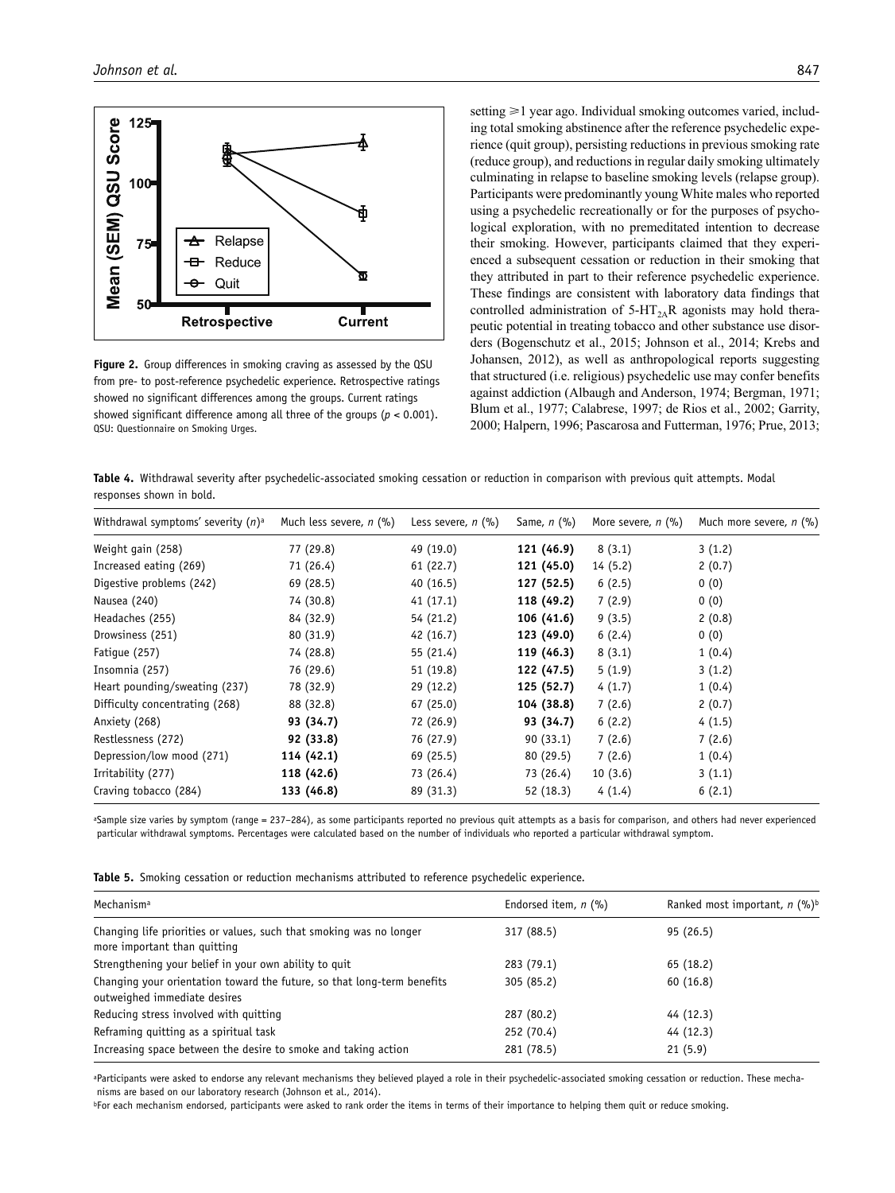

**Figure 2.** Group differences in smoking craving as assessed by the QSU from pre- to post-reference psychedelic experience. Retrospective ratings showed no significant differences among the groups. Current ratings showed significant difference among all three of the groups (*p* < 0.001). QSU: Questionnaire on Smoking Urges.

setting  $\geq 1$  year ago. Individual smoking outcomes varied, including total smoking abstinence after the reference psychedelic experience (quit group), persisting reductions in previous smoking rate (reduce group), and reductions in regular daily smoking ultimately culminating in relapse to baseline smoking levels (relapse group). Participants were predominantly young White males who reported using a psychedelic recreationally or for the purposes of psychological exploration, with no premeditated intention to decrease their smoking. However, participants claimed that they experienced a subsequent cessation or reduction in their smoking that they attributed in part to their reference psychedelic experience. These findings are consistent with laboratory data findings that controlled administration of  $5-HT<sub>2A</sub>R$  agonists may hold therapeutic potential in treating tobacco and other substance use disorders (Bogenschutz et al., 2015; Johnson et al., 2014; Krebs and Johansen, 2012), as well as anthropological reports suggesting that structured (i.e. religious) psychedelic use may confer benefits against addiction (Albaugh and Anderson, 1974; Bergman, 1971; Blum et al., 1977; Calabrese, 1997; de Rios et al., 2002; Garrity, 2000; Halpern, 1996; Pascarosa and Futterman, 1976; Prue, 2013;

**Table 4.** Withdrawal severity after psychedelic-associated smoking cessation or reduction in comparison with previous quit attempts. Modal responses shown in bold.

| Withdrawal symptoms' severity $(n)^a$ | Much less severe, $n$ (%) | Less severe, $n$ (%) | Same, $n$ $(\%)$ | More severe, $n$ (%) | Much more severe, n (%) |
|---------------------------------------|---------------------------|----------------------|------------------|----------------------|-------------------------|
| Weight gain (258)                     | 77 (29.8)                 | 49 (19.0)            | 121 (46.9)       | 8(3.1)               | 3(1.2)                  |
| Increased eating (269)                | 71 (26.4)                 | 61(22.7)             | 121 (45.0)       | 14(5.2)              | 2(0.7)                  |
| Digestive problems (242)              | 69 (28.5)                 | 40(16.5)             | 127 (52.5)       | 6(2.5)               | 0(0)                    |
| Nausea (240)                          | 74 (30.8)                 | 41(17.1)             | 118 (49.2)       | 7(2.9)               | 0(0)                    |
| Headaches (255)                       | 84 (32.9)                 | 54 (21.2)            | 106 (41.6)       | 9(3.5)               | 2(0.8)                  |
| Drowsiness (251)                      | 80 (31.9)                 | 42(16.7)             | 123 (49.0)       | 6(2.4)               | 0(0)                    |
| Fatique (257)                         | 74 (28.8)                 | 55 (21.4)            | 119 (46.3)       | 8(3.1)               | 1(0.4)                  |
| Insomnia (257)                        | 76 (29.6)                 | 51(19.8)             | 122 (47.5)       | 5(1.9)               | 3(1.2)                  |
| Heart pounding/sweating (237)         | 78 (32.9)                 | 29 (12.2)            | 125 (52.7)       | 4(1.7)               | 1(0.4)                  |
| Difficulty concentrating (268)        | 88 (32.8)                 | 67(25.0)             | 104 (38.8)       | 7(2.6)               | 2(0.7)                  |
| Anxiety (268)                         | 93 (34.7)                 | 72 (26.9)            | 93 (34.7)        | 6(2.2)               | 4(1.5)                  |
| Restlessness (272)                    | 92 (33.8)                 | 76 (27.9)            | 90(33.1)         | 7(2.6)               | 7(2.6)                  |
| Depression/low mood (271)             | 114 (42.1)                | 69 (25.5)            | 80 (29.5)        | 7(2.6)               | 1(0.4)                  |
| Irritability (277)                    | 118 (42.6)                | 73 (26.4)            | 73 (26.4)        | 10(3.6)              | 3(1.1)                  |
| Craving tobacco (284)                 | 133 (46.8)                | 89 (31.3)            | 52 (18.3)        | 4(1.4)               | 6(2.1)                  |

aSample size varies by symptom (range = 237–284), as some participants reported no previous quit attempts as a basis for comparison, and others had never experienced particular withdrawal symptoms. Percentages were calculated based on the number of individuals who reported a particular withdrawal symptom.

**Table 5.** Smoking cessation or reduction mechanisms attributed to reference psychedelic experience.

| Mechanism <sup>a</sup>                                                                                  | Endorsed item, $n$ (%) | Ranked most important, $n$ (%) <sup>b</sup> |
|---------------------------------------------------------------------------------------------------------|------------------------|---------------------------------------------|
| Changing life priorities or values, such that smoking was no longer<br>more important than quitting     | 317 (88.5)             | 95(26.5)                                    |
| Strengthening your belief in your own ability to quit                                                   | 283 (79.1)             | 65 (18.2)                                   |
| Changing your orientation toward the future, so that long-term benefits<br>outweighed immediate desires | 305 (85.2)             | 60(16.8)                                    |
| Reducing stress involved with quitting                                                                  | 287 (80.2)             | 44 (12.3)                                   |
| Reframing quitting as a spiritual task                                                                  | 252 (70.4)             | 44 (12.3)                                   |
| Increasing space between the desire to smoke and taking action                                          | 281 (78.5)             | 21(5.9)                                     |
|                                                                                                         |                        |                                             |

aParticipants were asked to endorse any relevant mechanisms they believed played a role in their psychedelic-associated smoking cessation or reduction. These mechanisms are based on our laboratory research (Johnson et al., 2014).

bFor each mechanism endorsed, participants were asked to rank order the items in terms of their importance to helping them quit or reduce smoking.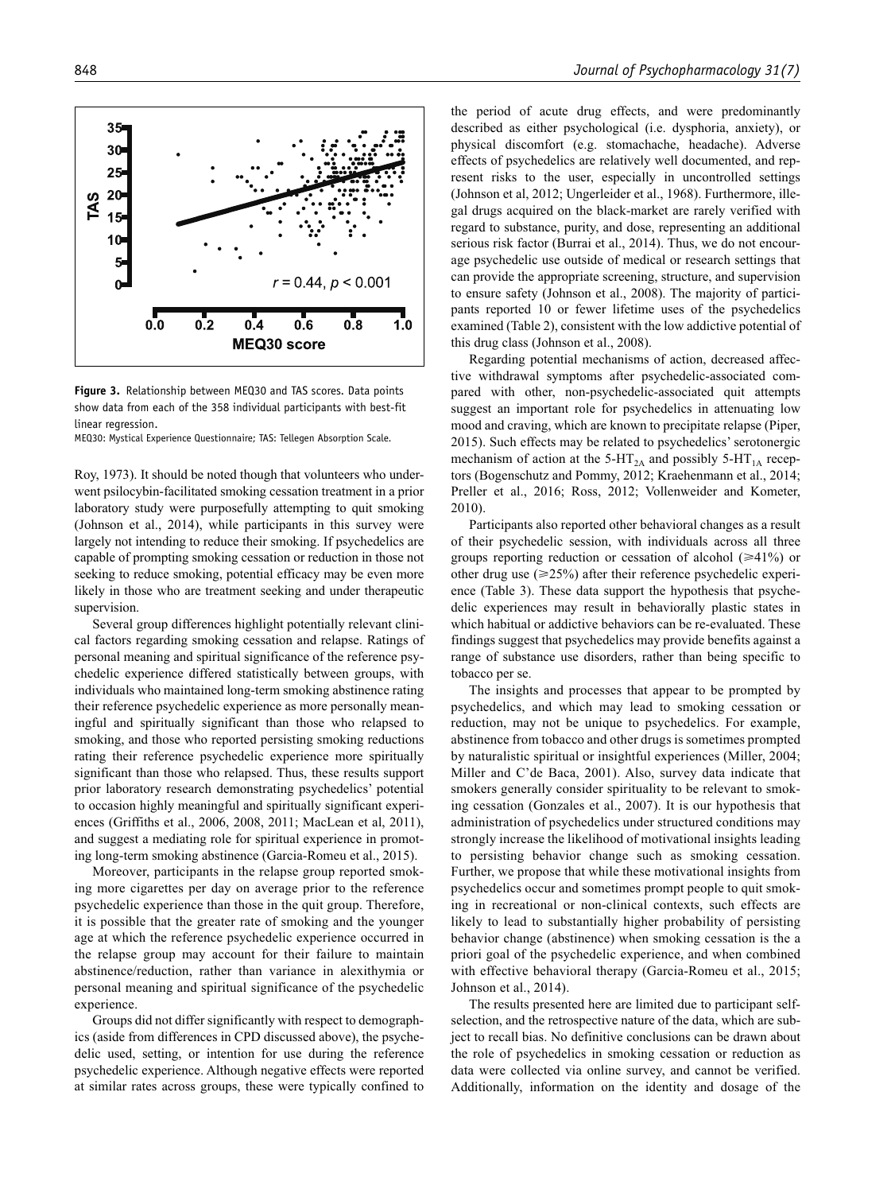**Figure 3.** Relationship between MEQ30 and TAS scores. Data points show data from each of the 358 individual participants with best-fit linear regression.

MEQ30: Mystical Experience Questionnaire; TAS: Tellegen Absorption Scale.

Roy, 1973). It should be noted though that volunteers who underwent psilocybin-facilitated smoking cessation treatment in a prior laboratory study were purposefully attempting to quit smoking (Johnson et al., 2014), while participants in this survey were largely not intending to reduce their smoking. If psychedelics are capable of prompting smoking cessation or reduction in those not seeking to reduce smoking, potential efficacy may be even more likely in those who are treatment seeking and under therapeutic supervision.

Several group differences highlight potentially relevant clinical factors regarding smoking cessation and relapse. Ratings of personal meaning and spiritual significance of the reference psychedelic experience differed statistically between groups, with individuals who maintained long-term smoking abstinence rating their reference psychedelic experience as more personally meaningful and spiritually significant than those who relapsed to smoking, and those who reported persisting smoking reductions rating their reference psychedelic experience more spiritually significant than those who relapsed. Thus, these results support prior laboratory research demonstrating psychedelics' potential to occasion highly meaningful and spiritually significant experiences (Griffiths et al., 2006, 2008, 2011; MacLean et al, 2011), and suggest a mediating role for spiritual experience in promoting long-term smoking abstinence (Garcia-Romeu et al., 2015).

Moreover, participants in the relapse group reported smoking more cigarettes per day on average prior to the reference psychedelic experience than those in the quit group. Therefore, it is possible that the greater rate of smoking and the younger age at which the reference psychedelic experience occurred in the relapse group may account for their failure to maintain abstinence/reduction, rather than variance in alexithymia or personal meaning and spiritual significance of the psychedelic experience.

Groups did not differ significantly with respect to demographics (aside from differences in CPD discussed above), the psychedelic used, setting, or intention for use during the reference psychedelic experience. Although negative effects were reported at similar rates across groups, these were typically confined to the period of acute drug effects, and were predominantly described as either psychological (i.e. dysphoria, anxiety), or physical discomfort (e.g. stomachache, headache). Adverse effects of psychedelics are relatively well documented, and represent risks to the user, especially in uncontrolled settings (Johnson et al, 2012; Ungerleider et al., 1968). Furthermore, illegal drugs acquired on the black-market are rarely verified with regard to substance, purity, and dose, representing an additional serious risk factor (Burrai et al., 2014). Thus, we do not encourage psychedelic use outside of medical or research settings that can provide the appropriate screening, structure, and supervision to ensure safety (Johnson et al., 2008). The majority of participants reported 10 or fewer lifetime uses of the psychedelics examined (Table 2), consistent with the low addictive potential of this drug class (Johnson et al., 2008).

Regarding potential mechanisms of action, decreased affective withdrawal symptoms after psychedelic-associated compared with other, non-psychedelic-associated quit attempts suggest an important role for psychedelics in attenuating low mood and craving, which are known to precipitate relapse (Piper, 2015). Such effects may be related to psychedelics' serotonergic mechanism of action at the 5-HT<sub>2A</sub> and possibly 5-HT<sub>1A</sub> receptors (Bogenschutz and Pommy, 2012; Kraehenmann et al., 2014; Preller et al., 2016; Ross, 2012; Vollenweider and Kometer, 2010).

Participants also reported other behavioral changes as a result of their psychedelic session, with individuals across all three groups reporting reduction or cessation of alcohol  $(\geq 41\%)$  or other drug use  $(\geq 25\%)$  after their reference psychedelic experience (Table 3). These data support the hypothesis that psychedelic experiences may result in behaviorally plastic states in which habitual or addictive behaviors can be re-evaluated. These findings suggest that psychedelics may provide benefits against a range of substance use disorders, rather than being specific to tobacco per se.

The insights and processes that appear to be prompted by psychedelics, and which may lead to smoking cessation or reduction, may not be unique to psychedelics. For example, abstinence from tobacco and other drugs is sometimes prompted by naturalistic spiritual or insightful experiences (Miller, 2004; Miller and C'de Baca, 2001). Also, survey data indicate that smokers generally consider spirituality to be relevant to smoking cessation (Gonzales et al., 2007). It is our hypothesis that administration of psychedelics under structured conditions may strongly increase the likelihood of motivational insights leading to persisting behavior change such as smoking cessation. Further, we propose that while these motivational insights from psychedelics occur and sometimes prompt people to quit smoking in recreational or non-clinical contexts, such effects are likely to lead to substantially higher probability of persisting behavior change (abstinence) when smoking cessation is the a priori goal of the psychedelic experience, and when combined with effective behavioral therapy (Garcia-Romeu et al., 2015; Johnson et al., 2014).

The results presented here are limited due to participant selfselection, and the retrospective nature of the data, which are subject to recall bias. No definitive conclusions can be drawn about the role of psychedelics in smoking cessation or reduction as data were collected via online survey, and cannot be verified. Additionally, information on the identity and dosage of the

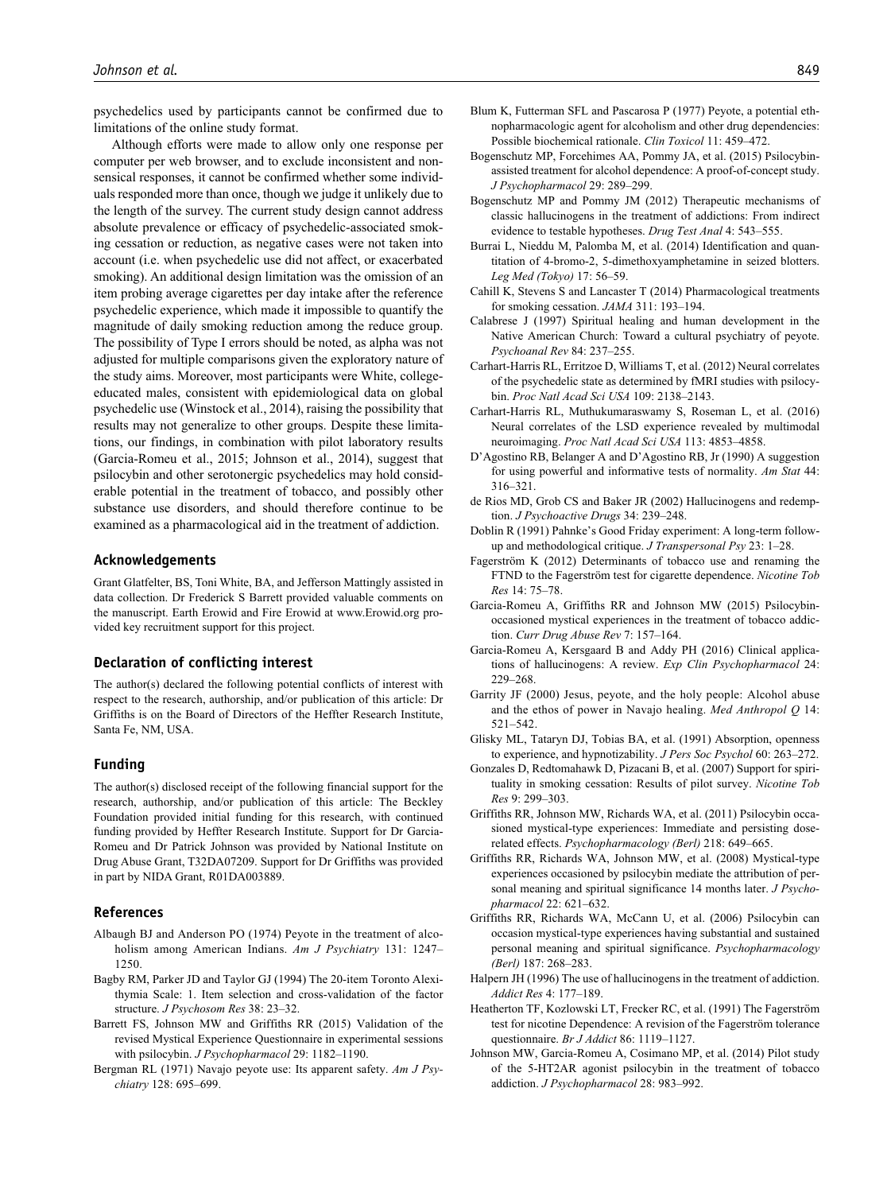psychedelics used by participants cannot be confirmed due to limitations of the online study format.

Although efforts were made to allow only one response per computer per web browser, and to exclude inconsistent and nonsensical responses, it cannot be confirmed whether some individuals responded more than once, though we judge it unlikely due to the length of the survey. The current study design cannot address absolute prevalence or efficacy of psychedelic-associated smoking cessation or reduction, as negative cases were not taken into account (i.e. when psychedelic use did not affect, or exacerbated smoking). An additional design limitation was the omission of an item probing average cigarettes per day intake after the reference psychedelic experience, which made it impossible to quantify the magnitude of daily smoking reduction among the reduce group. The possibility of Type I errors should be noted, as alpha was not adjusted for multiple comparisons given the exploratory nature of the study aims. Moreover, most participants were White, collegeeducated males, consistent with epidemiological data on global psychedelic use (Winstock et al., 2014), raising the possibility that results may not generalize to other groups. Despite these limitations, our findings, in combination with pilot laboratory results (Garcia-Romeu et al., 2015; Johnson et al., 2014), suggest that psilocybin and other serotonergic psychedelics may hold considerable potential in the treatment of tobacco, and possibly other substance use disorders, and should therefore continue to be examined as a pharmacological aid in the treatment of addiction.

#### **Acknowledgements**

Grant Glatfelter, BS, Toni White, BA, and Jefferson Mattingly assisted in data collection. Dr Frederick S Barrett provided valuable comments on the manuscript. Earth Erowid and Fire Erowid at [www.Erowid.org](www.erowid.org) provided key recruitment support for this project.

#### **Declaration of conflicting interest**

The author(s) declared the following potential conflicts of interest with respect to the research, authorship, and/or publication of this article: Dr Griffiths is on the Board of Directors of the Heffter Research Institute, Santa Fe, NM, USA.

#### **Funding**

The author(s) disclosed receipt of the following financial support for the research, authorship, and/or publication of this article: The Beckley Foundation provided initial funding for this research, with continued funding provided by Heffter Research Institute. Support for Dr Garcia-Romeu and Dr Patrick Johnson was provided by National Institute on Drug Abuse Grant, T32DA07209. Support for Dr Griffiths was provided in part by NIDA Grant, R01DA003889.

#### **References**

- Albaugh BJ and Anderson PO (1974) Peyote in the treatment of alcoholism among American Indians. *Am J Psychiatry* 131: 1247– 1250.
- Bagby RM, Parker JD and Taylor GJ (1994) The 20-item Toronto Alexithymia Scale: 1. Item selection and cross-validation of the factor structure. *J Psychosom Res* 38: 23–32.
- Barrett FS, Johnson MW and Griffiths RR (2015) Validation of the revised Mystical Experience Questionnaire in experimental sessions with psilocybin. *J Psychopharmacol* 29: 1182–1190.
- Bergman RL (1971) Navajo peyote use: Its apparent safety. *Am J Psychiatry* 128: 695–699.
- Blum K, Futterman SFL and Pascarosa P (1977) Peyote, a potential ethnopharmacologic agent for alcoholism and other drug dependencies: Possible biochemical rationale. *Clin Toxicol* 11: 459–472.
- Bogenschutz MP, Forcehimes AA, Pommy JA, et al. (2015) Psilocybinassisted treatment for alcohol dependence: A proof-of-concept study. *J Psychopharmacol* 29: 289–299.
- Bogenschutz MP and Pommy JM (2012) Therapeutic mechanisms of classic hallucinogens in the treatment of addictions: From indirect evidence to testable hypotheses. *Drug Test Anal* 4: 543–555.
- Burrai L, Nieddu M, Palomba M, et al. (2014) Identification and quantitation of 4-bromo-2, 5-dimethoxyamphetamine in seized blotters. *Leg Med (Tokyo)* 17: 56–59.
- Cahill K, Stevens S and Lancaster T (2014) Pharmacological treatments for smoking cessation. *JAMA* 311: 193–194.
- Calabrese J (1997) Spiritual healing and human development in the Native American Church: Toward a cultural psychiatry of peyote. *Psychoanal Rev* 84: 237–255.
- Carhart-Harris RL, Erritzoe D, Williams T, et al. (2012) Neural correlates of the psychedelic state as determined by fMRI studies with psilocybin. *Proc Natl Acad Sci USA* 109: 2138–2143.
- Carhart-Harris RL, Muthukumaraswamy S, Roseman L, et al. (2016) Neural correlates of the LSD experience revealed by multimodal neuroimaging. *Proc Natl Acad Sci USA* 113: 4853–4858.
- D'Agostino RB, Belanger A and D'Agostino RB, Jr (1990) A suggestion for using powerful and informative tests of normality. *Am Stat* 44: 316–321.
- de Rios MD, Grob CS and Baker JR (2002) Hallucinogens and redemption. *J Psychoactive Drugs* 34: 239–248.
- Doblin R (1991) Pahnke's Good Friday experiment: A long-term followup and methodological critique. *J Transpersonal Psy* 23: 1–28.
- Fagerström K (2012) Determinants of tobacco use and renaming the FTND to the Fagerström test for cigarette dependence. *Nicotine Tob Res* 14: 75–78.
- Garcia-Romeu A, Griffiths RR and Johnson MW (2015) Psilocybinoccasioned mystical experiences in the treatment of tobacco addiction. *Curr Drug Abuse Rev* 7: 157–164.
- Garcia-Romeu A, Kersgaard B and Addy PH (2016) Clinical applications of hallucinogens: A review. *Exp Clin Psychopharmacol* 24: 229–268.
- Garrity JF (2000) Jesus, peyote, and the holy people: Alcohol abuse and the ethos of power in Navajo healing. *Med Anthropol Q* 14: 521–542.
- Glisky ML, Tataryn DJ, Tobias BA, et al. (1991) Absorption, openness to experience, and hypnotizability. *J Pers Soc Psychol* 60: 263–272.
- Gonzales D, Redtomahawk D, Pizacani B, et al. (2007) Support for spirituality in smoking cessation: Results of pilot survey. *Nicotine Tob Res* 9: 299–303.
- Griffiths RR, Johnson MW, Richards WA, et al. (2011) Psilocybin occasioned mystical-type experiences: Immediate and persisting doserelated effects. *Psychopharmacology (Berl)* 218: 649–665.
- Griffiths RR, Richards WA, Johnson MW, et al. (2008) Mystical-type experiences occasioned by psilocybin mediate the attribution of personal meaning and spiritual significance 14 months later. *J Psychopharmacol* 22: 621–632.
- Griffiths RR, Richards WA, McCann U, et al. (2006) Psilocybin can occasion mystical-type experiences having substantial and sustained personal meaning and spiritual significance. *Psychopharmacology (Berl)* 187: 268–283.
- Halpern JH (1996) The use of hallucinogens in the treatment of addiction. *Addict Res* 4: 177–189.
- Heatherton TF, Kozlowski LT, Frecker RC, et al. (1991) The Fagerström test for nicotine Dependence: A revision of the Fagerström tolerance questionnaire. *Br J Addict* 86: 1119–1127.
- Johnson MW, Garcia-Romeu A, Cosimano MP, et al. (2014) Pilot study of the 5-HT2AR agonist psilocybin in the treatment of tobacco addiction. *J Psychopharmacol* 28: 983–992.